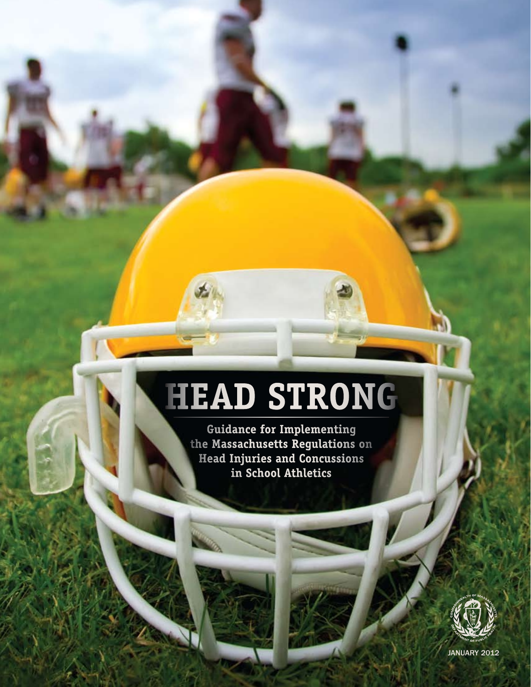# **Head Strong**

**Guidance for Implementing the Massachusetts Regulations on Head Injuries and Concussions in School Athletics**



JANUARY 2012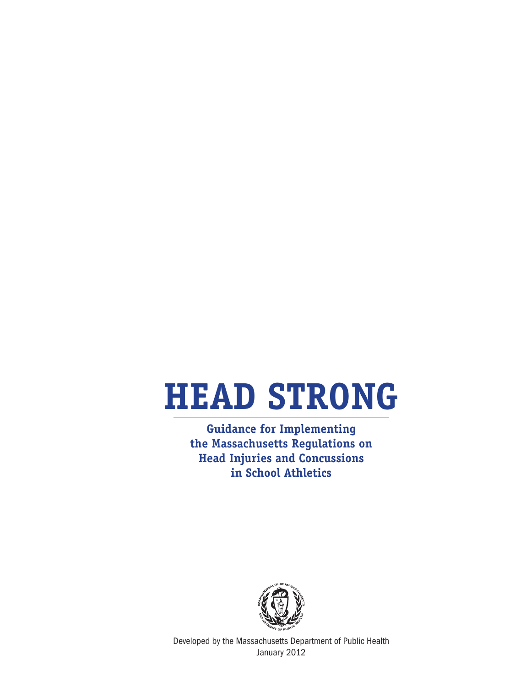# **Head Strong**

**Guidance for Implementing the Massachusetts Regulations on Head Injuries and Concussions in School Athletics**



Developed by the Massachusetts Department of Public Health January 2012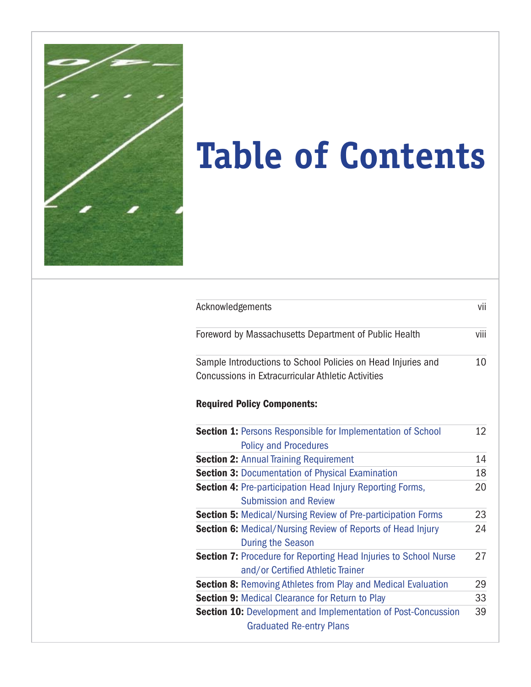

# **Table of Contents**

| Acknowledgements                                      |                                                                      | vii |  |
|-------------------------------------------------------|----------------------------------------------------------------------|-----|--|
| Foreword by Massachusetts Department of Public Health |                                                                      |     |  |
|                                                       | Sample Introductions to School Policies on Head Injuries and         | 10  |  |
|                                                       | <b>Concussions in Extracurricular Athletic Activities</b>            |     |  |
|                                                       | <b>Required Policy Components:</b>                                   |     |  |
|                                                       | <b>Section 1: Persons Responsible for Implementation of School</b>   | 12  |  |
|                                                       | <b>Policy and Procedures</b>                                         |     |  |
|                                                       | <b>Section 2: Annual Training Requirement</b>                        | 14  |  |
|                                                       | <b>Section 3: Documentation of Physical Examination</b>              | 18  |  |
|                                                       | <b>Section 4: Pre-participation Head Injury Reporting Forms,</b>     | 20  |  |
|                                                       | <b>Submission and Review</b>                                         |     |  |
|                                                       | <b>Section 5: Medical/Nursing Review of Pre-participation Forms</b>  | 23  |  |
|                                                       | <b>Section 6:</b> Medical/Nursing Review of Reports of Head Injury   | 24  |  |
|                                                       | <b>During the Season</b>                                             |     |  |
|                                                       | Section 7: Procedure for Reporting Head Injuries to School Nurse     | 27  |  |
|                                                       | and/or Certified Athletic Trainer                                    |     |  |
|                                                       | <b>Section 8: Removing Athletes from Play and Medical Evaluation</b> | 29  |  |
|                                                       | <b>Section 9: Medical Clearance for Return to Play</b>               | 33  |  |
|                                                       | <b>Section 10:</b> Development and Implementation of Post-Concussion | 39  |  |
|                                                       | <b>Graduated Re-entry Plans</b>                                      |     |  |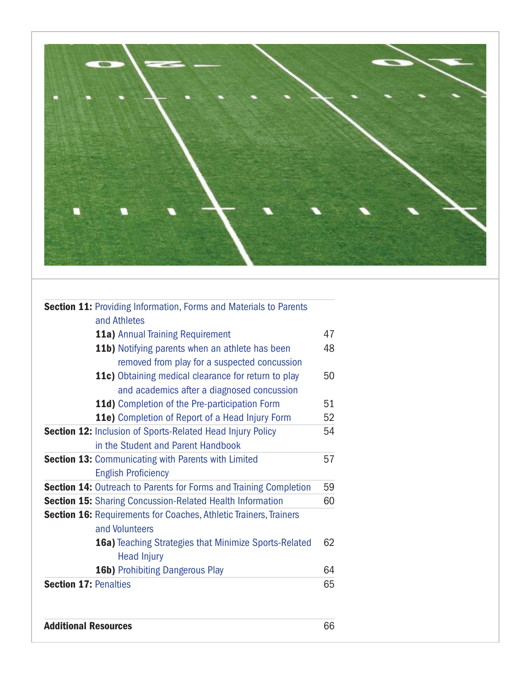

| <b>Section 11: Providing Information, Forms and Materials to Parents</b> |    |  |  |  |  |  |
|--------------------------------------------------------------------------|----|--|--|--|--|--|
| and Athletes                                                             |    |  |  |  |  |  |
| <b>11a)</b> Annual Training Requirement                                  |    |  |  |  |  |  |
| <b>11b)</b> Notifying parents when an athlete has been                   |    |  |  |  |  |  |
| removed from play for a suspected concussion                             |    |  |  |  |  |  |
| 11c) Obtaining medical clearance for return to play                      | 50 |  |  |  |  |  |
| and academics after a diagnosed concussion                               |    |  |  |  |  |  |
| 11d) Completion of the Pre-participation Form                            | 51 |  |  |  |  |  |
| 11e) Completion of Report of a Head Injury Form                          | 52 |  |  |  |  |  |
| <b>Section 12: Inclusion of Sports-Related Head Injury Policy</b>        | 54 |  |  |  |  |  |
| in the Student and Parent Handbook                                       |    |  |  |  |  |  |
| <b>Section 13: Communicating with Parents with Limited</b>               | 57 |  |  |  |  |  |
| <b>English Proficiency</b>                                               |    |  |  |  |  |  |
| <b>Section 14:</b> Outreach to Parents for Forms and Training Completion | 59 |  |  |  |  |  |
| <b>Section 15:</b> Sharing Concussion-Related Health Information         |    |  |  |  |  |  |
| <b>Section 16: Requirements for Coaches, Athletic Trainers, Trainers</b> |    |  |  |  |  |  |
| and Volunteers                                                           |    |  |  |  |  |  |
| 16a) Teaching Strategies that Minimize Sports-Related                    |    |  |  |  |  |  |
| <b>Head Injury</b>                                                       |    |  |  |  |  |  |
| <b>16b)</b> Prohibiting Dangerous Play                                   | 64 |  |  |  |  |  |
| <b>Section 17: Penalties</b>                                             | 65 |  |  |  |  |  |
|                                                                          |    |  |  |  |  |  |
|                                                                          |    |  |  |  |  |  |

Additional Resources 66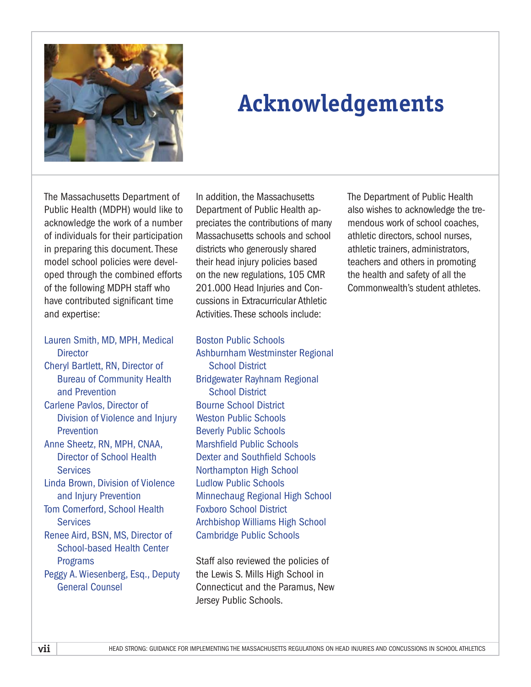

# **Acknowledgements**

The Massachusetts Department of Public Health (MDPH) would like to acknowledge the work of a number of individuals for their participation in preparing this document. These model school policies were developed through the combined efforts of the following MDPH staff who have contributed significant time and expertise:

#### Lauren Smith, MD, MPH, Medical **Director**

- Cheryl Bartlett, RN, Director of Bureau of Community Health and Prevention Carlene Pavlos, Director of
- Division of Violence and Injury Prevention
- Anne Sheetz, RN, MPH, CNAA, Director of School Health **Services**
- Linda Brown, Division of Violence and Injury Prevention
- Tom Comerford, School Health **Services**
- Renee Aird, BSN, MS, Director of School-based Health Center Programs
- Peggy A. Wiesenberg, Esq., Deputy General Counsel

In addition, the Massachusetts Department of Public Health appreciates the contributions of many Massachusetts schools and school districts who generously shared their head injury policies based on the new regulations, 105 CMR 201.000 Head Injuries and Concussions in Extracurricular Athletic Activities. These schools include:

#### Boston Public Schools

Ashburnham Westminster Regional School District Bridgewater Rayhnam Regional School District Bourne School District Weston Public Schools Beverly Public Schools Marshfield Public Schools Dexter and Southfield Schools Northampton High School Ludlow Public Schools Minnechaug Regional High School Foxboro School District Archbishop Williams High School Cambridge Public Schools

Staff also reviewed the policies of the Lewis S. Mills High School in Connecticut and the Paramus, New Jersey Public Schools.

The Department of Public Health also wishes to acknowledge the tremendous work of school coaches, athletic directors, school nurses, athletic trainers, administrators, teachers and others in promoting the health and safety of all the Commonwealth's student athletes.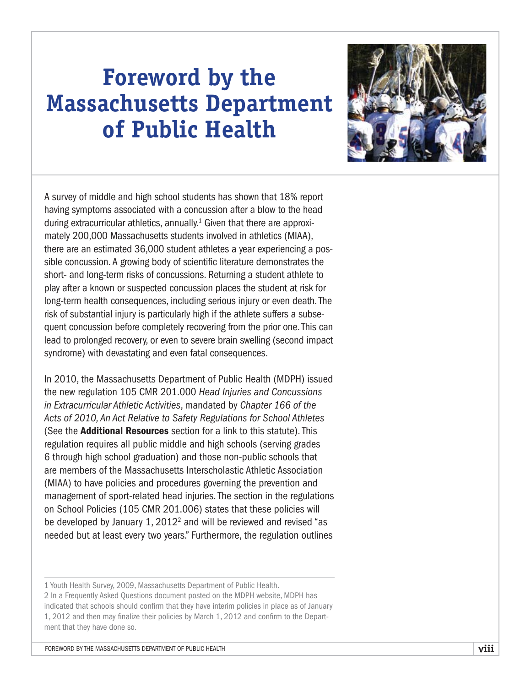# **Foreword by the Massachusetts Department of Public Health**



A survey of middle and high school students has shown that 18% report having symptoms associated with a concussion after a blow to the head during extracurricular athletics, annually.<sup>1</sup> Given that there are approximately 200,000 Massachusetts students involved in athletics (MIAA), there are an estimated 36,000 student athletes a year experiencing a possible concussion. A growing body of scientific literature demonstrates the short- and long-term risks of concussions. Returning a student athlete to play after a known or suspected concussion places the student at risk for long-term health consequences, including serious injury or even death. The risk of substantial injury is particularly high if the athlete suffers a subsequent concussion before completely recovering from the prior one. This can lead to prolonged recovery, or even to severe brain swelling (second impact syndrome) with devastating and even fatal consequences.

In 2010, the Massachusetts Department of Public Health (MDPH) issued the new regulation 105 CMR 201.000 *Head Injuries and Concussions in Extracurricular Athletic Activities*, mandated by *Chapter 166 of the Acts of 2010, An Act Relative to Safety Regulations for School Athletes* (See the Additional Resources section for a link to this statute). This regulation requires all public middle and high schools (serving grades 6 through high school graduation) and those non-public schools that are members of the Massachusetts Interscholastic Athletic Association (MIAA) to have policies and procedures governing the prevention and management of sport-related head injuries. The section in the regulations on School Policies (105 CMR 201.006) states that these policies will be developed by January 1, 2012<sup>2</sup> and will be reviewed and revised "as needed but at least every two years." Furthermore, the regulation outlines

1 Youth Health Survey, 2009, Massachusetts Department of Public Health. 2 In a Frequently Asked Questions document posted on the MDPH website, MDPH has indicated that schools should confirm that they have interim policies in place as of January 1, 2012 and then may finalize their policies by March 1, 2012 and confirm to the Department that they have done so.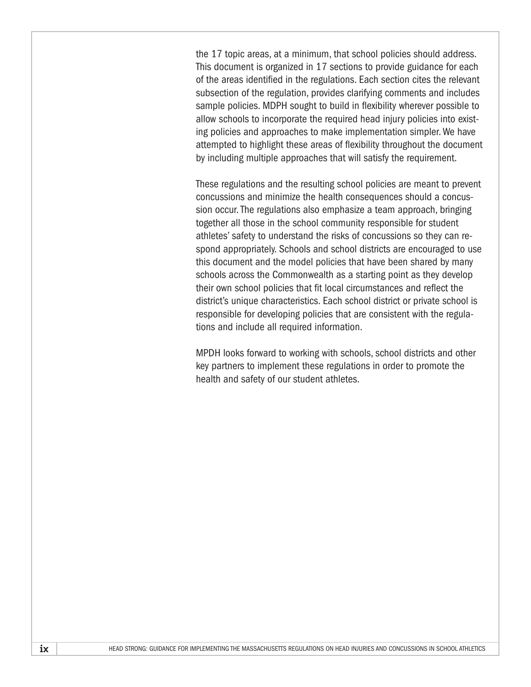the 17 topic areas, at a minimum, that school policies should address. This document is organized in 17 sections to provide guidance for each of the areas identified in the regulations. Each section cites the relevant subsection of the regulation, provides clarifying comments and includes sample policies. MDPH sought to build in flexibility wherever possible to allow schools to incorporate the required head injury policies into existing policies and approaches to make implementation simpler. We have attempted to highlight these areas of flexibility throughout the document by including multiple approaches that will satisfy the requirement.

These regulations and the resulting school policies are meant to prevent concussions and minimize the health consequences should a concussion occur. The regulations also emphasize a team approach, bringing together all those in the school community responsible for student athletes' safety to understand the risks of concussions so they can respond appropriately. Schools and school districts are encouraged to use this document and the model policies that have been shared by many schools across the Commonwealth as a starting point as they develop their own school policies that fit local circumstances and reflect the district's unique characteristics. Each school district or private school is responsible for developing policies that are consistent with the regulations and include all required information.

MPDH looks forward to working with schools, school districts and other key partners to implement these regulations in order to promote the health and safety of our student athletes.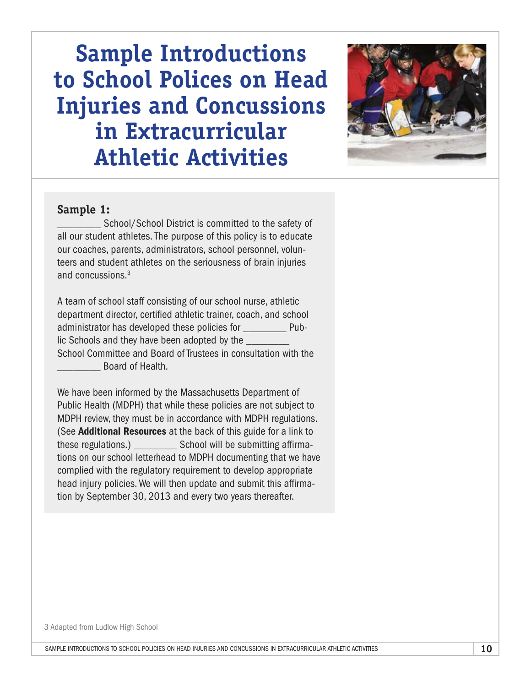# **Sample Introductions to School Polices on Head Injuries and Concussions in Extracurricular Athletic Activities**



### **Sample 1:**

School/School District is committed to the safety of all our student athletes. The purpose of this policy is to educate our coaches, parents, administrators, school personnel, volunteers and student athletes on the seriousness of brain injuries and concussions.<sup>3</sup>

A team of school staff consisting of our school nurse, athletic department director, certified athletic trainer, coach, and school administrator has developed these policies for \_\_\_\_\_\_\_\_ Public Schools and they have been adopted by the School Committee and Board of Trustees in consultation with the \_\_\_\_\_\_\_\_ Board of Health.

We have been informed by the Massachusetts Department of Public Health (MDPH) that while these policies are not subject to MDPH review, they must be in accordance with MDPH regulations. (See **Additional Resources** at the back of this guide for a link to these regulations.) \_\_\_\_\_\_\_\_ School will be submitting affirmations on our school letterhead to MDPH documenting that we have complied with the regulatory requirement to develop appropriate head injury policies. We will then update and submit this affirmation by September 30, 2013 and every two years thereafter.

3 Adapted from Ludlow High School

sample introductions to school policies on head injuries and concussions in extracurricular athletic activities **10**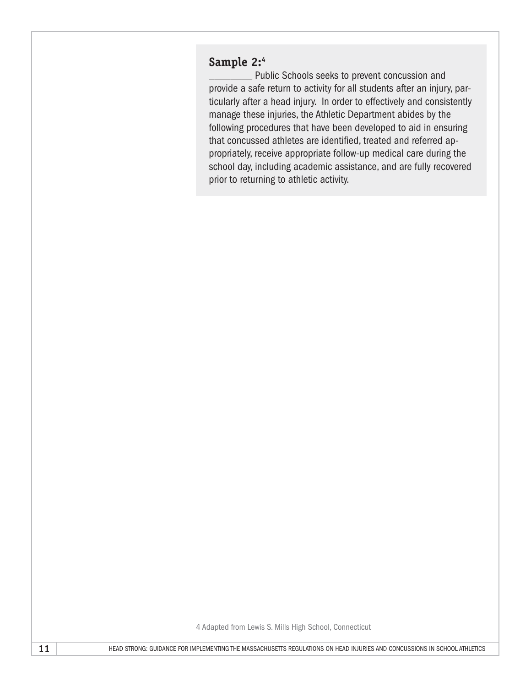### **Sample 2:4**

\_\_\_\_\_\_\_\_ Public Schools seeks to prevent concussion and provide a safe return to activity for all students after an injury, particularly after a head injury. In order to effectively and consistently manage these injuries, the Athletic Department abides by the following procedures that have been developed to aid in ensuring that concussed athletes are identified, treated and referred appropriately, receive appropriate follow-up medical care during the school day, including academic assistance, and are fully recovered prior to returning to athletic activity.

4 Adapted from Lewis S. Mills High School, Connecticut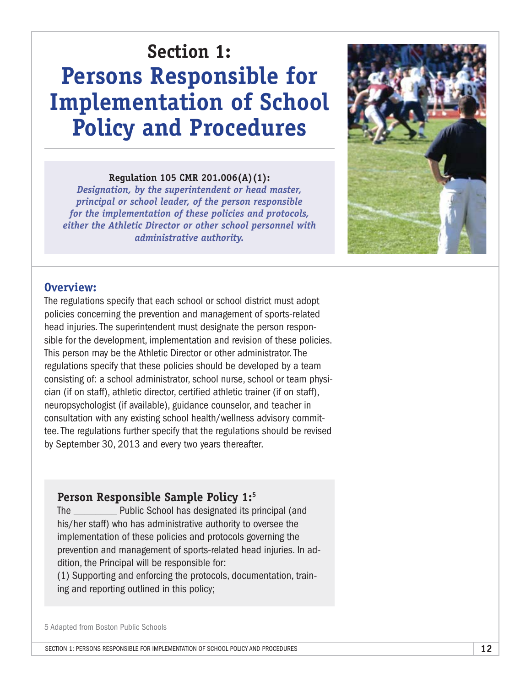# **Section 1: Persons Responsible for Implementation of School Policy and Procedures**

#### **Regulation 105 CMR 201.006(A)(1):**

*Designation, by the superintendent or head master, principal or school leader, of the person responsible for the implementation of these policies and protocols, either the Athletic Director or other school personnel with administrative authority.*



### **Overview:**

The regulations specify that each school or school district must adopt policies concerning the prevention and management of sports-related head injuries. The superintendent must designate the person responsible for the development, implementation and revision of these policies. This person may be the Athletic Director or other administrator. The regulations specify that these policies should be developed by a team consisting of: a school administrator, school nurse, school or team physician (if on staff), athletic director, certified athletic trainer (if on staff), neuropsychologist (if available), guidance counselor, and teacher in consultation with any existing school health/wellness advisory committee. The regulations further specify that the regulations should be revised by September 30, 2013 and every two years thereafter.

### **Person Responsible Sample Policy 1:5**

The \_\_\_\_\_\_\_\_ Public School has designated its principal (and his/her staff) who has administrative authority to oversee the implementation of these policies and protocols governing the prevention and management of sports-related head injuries. In addition, the Principal will be responsible for:

(1) Supporting and enforcing the protocols, documentation, training and reporting outlined in this policy;

5 Adapted from Boston Public Schools

Section 1: Persons Responsible for Implementation of School Policy and Procedures **12**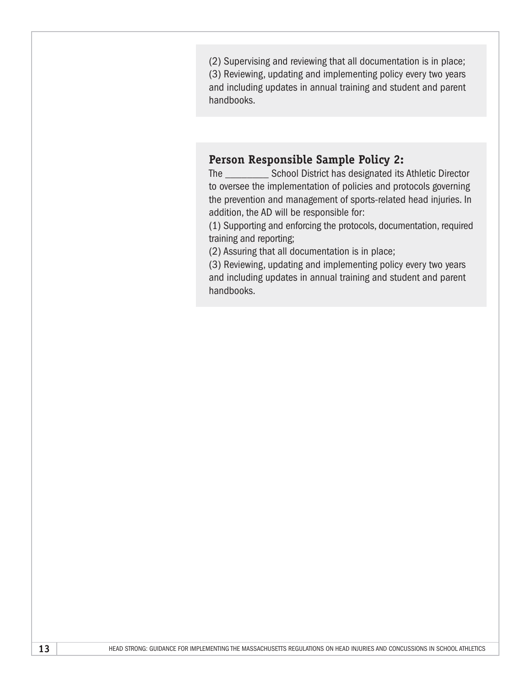(2) Supervising and reviewing that all documentation is in place; (3) Reviewing, updating and implementing policy every two years and including updates in annual training and student and parent handbooks.

### **Person Responsible Sample Policy 2:**

The \_\_\_\_\_\_\_\_ School District has designated its Athletic Director to oversee the implementation of policies and protocols governing the prevention and management of sports-related head injuries. In addition, the AD will be responsible for:

(1) Supporting and enforcing the protocols, documentation, required training and reporting;

(2) Assuring that all documentation is in place;

(3) Reviewing, updating and implementing policy every two years and including updates in annual training and student and parent handbooks.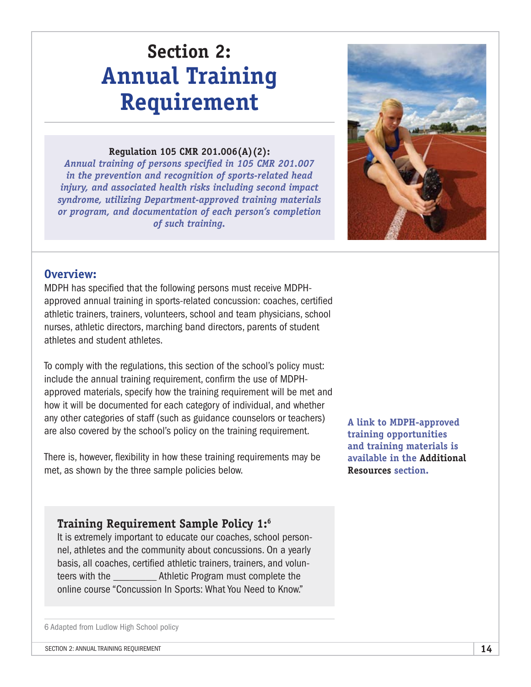# **Section 2: Annual Training Requirement**

#### **Regulation 105 CMR 201.006(A)(2):**

*Annual training of persons specified in 105 CMR 201.007 in the prevention and recognition of sports-related head injury, and associated health risks including second impact syndrome, utilizing Department-approved training materials or program, and documentation of each person's completion of such training.*



### **Overview:**

MDPH has specified that the following persons must receive MDPHapproved annual training in sports-related concussion: coaches, certified athletic trainers, trainers, volunteers, school and team physicians, school nurses, athletic directors, marching band directors, parents of student athletes and student athletes.

To comply with the regulations, this section of the school's policy must: include the annual training requirement, confirm the use of MDPHapproved materials, specify how the training requirement will be met and how it will be documented for each category of individual, and whether any other categories of staff (such as guidance counselors or teachers) are also covered by the school's policy on the training requirement.

There is, however, flexibility in how these training requirements may be met, as shown by the three sample policies below.

**A link to MDPH-approved training opportunities and training materials is available in the Additional Resources section.**

### **Training Requirement Sample Policy 1:6**

It is extremely important to educate our coaches, school personnel, athletes and the community about concussions. On a yearly basis, all coaches, certified athletic trainers, trainers, and volunteers with the \_\_\_\_\_\_\_\_ Athletic Program must complete the online course "Concussion In Sports: What You Need to Know."

6 Adapted from Ludlow High School policy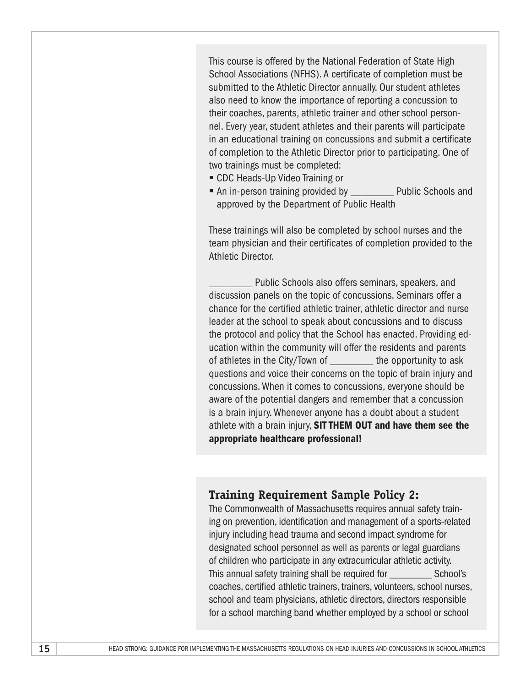This course is offered by the National Federation of State High School Associations (NFHS). A certificate of completion must be submitted to the Athletic Director annually. Our student athletes also need to know the importance of reporting a concussion to their coaches, parents, athletic trainer and other school personnel. Every year, student athletes and their parents will participate in an educational training on concussions and submit a certificate of completion to the Athletic Director prior to participating. One of two trainings must be completed:

- CDC Heads-Up Video Training or
- An in-person training provided by Public Schools and approved by the Department of Public Health

These trainings will also be completed by school nurses and the team physician and their certificates of completion provided to the Athletic Director.

Public Schools also offers seminars, speakers, and discussion panels on the topic of concussions. Seminars offer a chance for the certified athletic trainer, athletic director and nurse leader at the school to speak about concussions and to discuss the protocol and policy that the School has enacted. Providing education within the community will offer the residents and parents of athletes in the City/Town of the opportunity to ask questions and voice their concerns on the topic of brain injury and concussions. When it comes to concussions, everyone should be aware of the potential dangers and remember that a concussion is a brain injury. Whenever anyone has a doubt about a student athlete with a brain injury, SIT THEM OUT and have them see the appropriate healthcare professional!

### **Training Requirement Sample Policy 2:**

The Commonwealth of Massachusetts requires annual safety training on prevention, identification and management of a sports-related injury including head trauma and second impact syndrome for designated school personnel as well as parents or legal guardians of children who participate in any extracurricular athletic activity. This annual safety training shall be required for \_\_\_\_\_\_\_\_ School's coaches, certified athletic trainers, trainers, volunteers, school nurses, school and team physicians, athletic directors, directors responsible for a school marching band whether employed by a school or school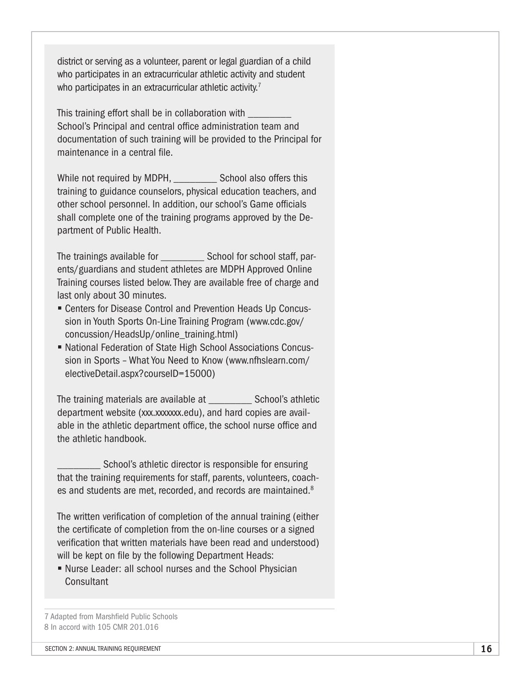district or serving as a volunteer, parent or legal guardian of a child who participates in an extracurricular athletic activity and student who participates in an extracurricular athletic activity.<sup>7</sup>

This training effort shall be in collaboration with School's Principal and central office administration team and documentation of such training will be provided to the Principal for maintenance in a central file.

While not required by MDPH, School also offers this training to guidance counselors, physical education teachers, and other school personnel. In addition, our school's Game officials shall complete one of the training programs approved by the Department of Public Health.

The trainings available for School for school staff, parents/guardians and student athletes are MDPH Approved Online Training courses listed below. They are available free of charge and last only about 30 minutes.

- Centers for Disease Control and Prevention Heads Up Concussion in Youth Sports On-Line Training Program [\(www.cdc.gov/](http://www.cdc.gov/concussion/HeadsUp/online_training.html) [concussion/HeadsUp/online\\_training.html\)](http://www.cdc.gov/concussion/HeadsUp/online_training.html)
- National Federation of State High School Associations Concussion in Sports – What You Need to Know [\(www.nfhslearn.com/](http://www.nfhslearn.com/electiveDetail.aspx?courseID=15000) [electiveDetail.aspx?courseID=15000](http://www.nfhslearn.com/electiveDetail.aspx?courseID=15000))

The training materials are available at School's athletic department website (xxx.xxxxxxx.edu), and hard copies are available in the athletic department office, the school nurse office and the athletic handbook.

School's athletic director is responsible for ensuring that the training requirements for staff, parents, volunteers, coaches and students are met, recorded, and records are maintained.<sup>8</sup>

The written verification of completion of the annual training (either the certificate of completion from the on-line courses or a signed verification that written materials have been read and understood) will be kept on file by the following Department Heads:

§ Nurse Leader: all school nurses and the School Physician **Consultant** 

7 Adapted from Marshfield Public Schools 8 In accord with 105 CMR 201.016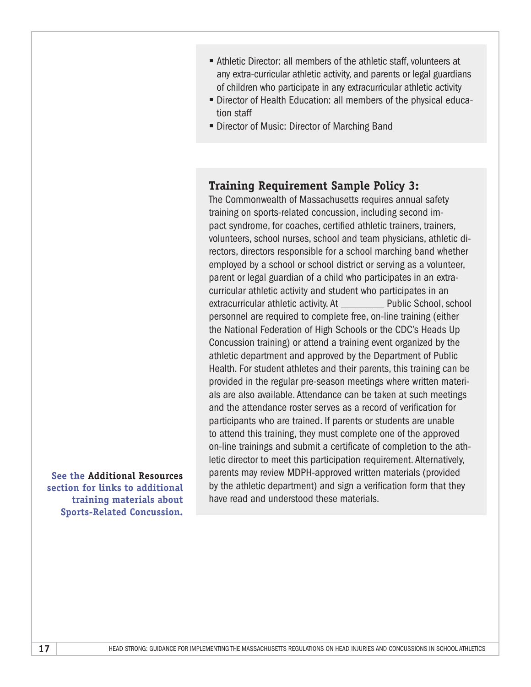- Athletic Director: all members of the athletic staff, volunteers at any extra-curricular athletic activity, and parents or legal guardians of children who participate in any extracurricular athletic activity
- Director of Health Education: all members of the physical education staff
- Director of Music: Director of Marching Band

### **Training Requirement Sample Policy 3:**

The Commonwealth of Massachusetts requires annual safety training on sports-related concussion, including second impact syndrome, for coaches, certified athletic trainers, trainers, volunteers, school nurses, school and team physicians, athletic directors, directors responsible for a school marching band whether employed by a school or school district or serving as a volunteer, parent or legal guardian of a child who participates in an extracurricular athletic activity and student who participates in an extracurricular athletic activity. At Public School, school personnel are required to complete free, on-line training (either the National Federation of High Schools or the CDC's Heads Up Concussion training) or attend a training event organized by the athletic department and approved by the Department of Public Health. For student athletes and their parents, this training can be provided in the regular pre-season meetings where written materials are also available. Attendance can be taken at such meetings and the attendance roster serves as a record of verification for participants who are trained. If parents or students are unable to attend this training, they must complete one of the approved on-line trainings and submit a certificate of completion to the athletic director to meet this participation requirement. Alternatively, parents may review MDPH-approved written materials (provided by the athletic department) and sign a verification form that they have read and understood these materials.

**See the Additional Resources section for links to additional training materials about Sports-Related Concussion.**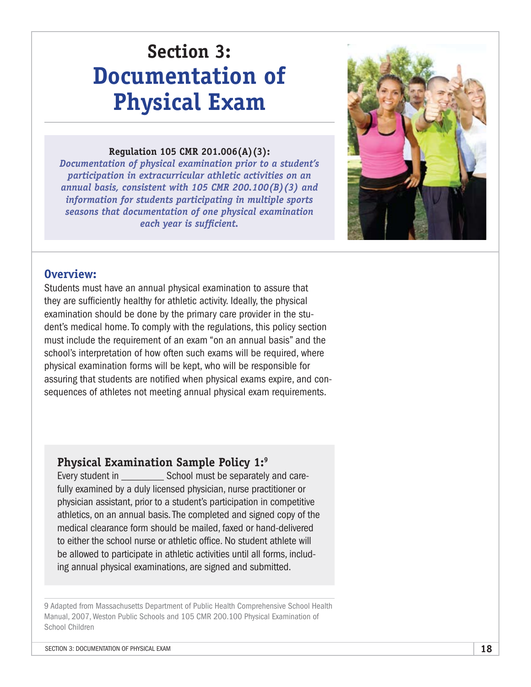# **Section 3: Documentation of Physical Exam**

#### **Regulation 105 CMR 201.006(A)(3):**

*Documentation of physical examination prior to a student's participation in extracurricular athletic activities on an annual basis, consistent with 105 CMR 200.100(B)(3) and information for students participating in multiple sports seasons that documentation of one physical examination each year is sufficient.*



### **Overview:**

Students must have an annual physical examination to assure that they are sufficiently healthy for athletic activity. Ideally, the physical examination should be done by the primary care provider in the student's medical home. To comply with the regulations, this policy section must include the requirement of an exam "on an annual basis" and the school's interpretation of how often such exams will be required, where physical examination forms will be kept, who will be responsible for assuring that students are notified when physical exams expire, and consequences of athletes not meeting annual physical exam requirements.

### **Physical Examination Sample Policy 1:9**

Every student in Every student in School must be separately and carefully examined by a duly licensed physician, nurse practitioner or physician assistant, prior to a student's participation in competitive athletics, on an annual basis. The completed and signed copy of the medical clearance form should be mailed, faxed or hand-delivered to either the school nurse or athletic office. No student athlete will be allowed to participate in athletic activities until all forms, including annual physical examinations, are signed and submitted.

9 Adapted from Massachusetts Department of Public Health Comprehensive School Health Manual, 2007, Weston Public Schools and 105 CMR 200.100 Physical Examination of School Children

SECTION 3: DOCUMENTATION OF PHYSICAL EXAM **18**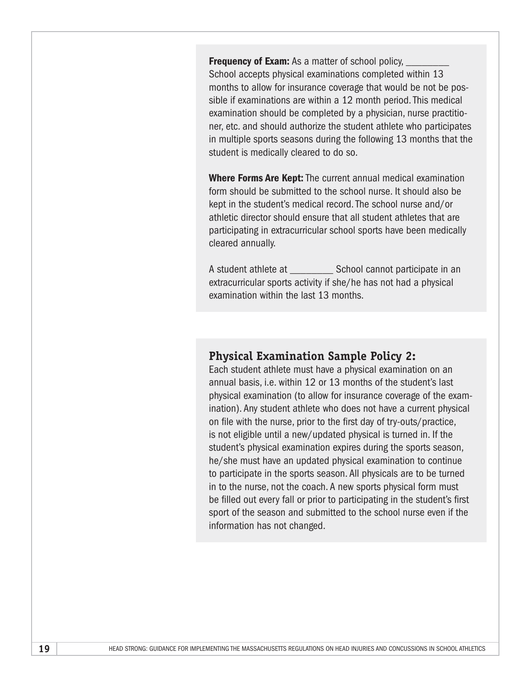Frequency of Exam: As a matter of school policy, School accepts physical examinations completed within 13 months to allow for insurance coverage that would be not be possible if examinations are within a 12 month period. This medical examination should be completed by a physician, nurse practitioner, etc. and should authorize the student athlete who participates in multiple sports seasons during the following 13 months that the student is medically cleared to do so.

Where Forms Are Kept: The current annual medical examination form should be submitted to the school nurse. It should also be kept in the student's medical record. The school nurse and/or athletic director should ensure that all student athletes that are participating in extracurricular school sports have been medically cleared annually.

A student athlete at **School cannot participate in an** extracurricular sports activity if she/he has not had a physical examination within the last 13 months.

#### **Physical Examination Sample Policy 2:**

Each student athlete must have a physical examination on an annual basis, i.e. within 12 or 13 months of the student's last physical examination (to allow for insurance coverage of the examination). Any student athlete who does not have a current physical on file with the nurse, prior to the first day of try-outs/practice, is not eligible until a new/updated physical is turned in. If the student's physical examination expires during the sports season, he/she must have an updated physical examination to continue to participate in the sports season. All physicals are to be turned in to the nurse, not the coach. A new sports physical form must be filled out every fall or prior to participating in the student's first sport of the season and submitted to the school nurse even if the information has not changed.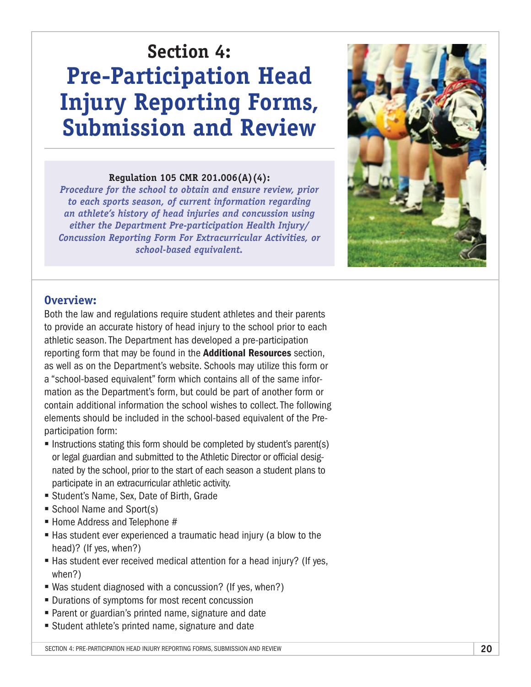# **Section 4: Pre-Participation Head Injury Reporting Forms, Submission and Review**

#### **Regulation 105 CMR 201.006(A)(4):**

*Procedure for the school to obtain and ensure review, prior to each sports season, of current information regarding an athlete's history of head injuries and concussion using either the Department Pre-participation Health Injury/ Concussion Reporting Form For Extracurricular Activities, or school-based equivalent.*



#### **Overview:**

Both the law and regulations require student athletes and their parents to provide an accurate history of head injury to the school prior to each athletic season. The Department has developed a pre-participation reporting form that may be found in the **Additional Resources** section, as well as on the Department's website. Schools may utilize this form or a "school-based equivalent" form which contains all of the same information as the Department's form, but could be part of another form or contain additional information the school wishes to collect. The following elements should be included in the school-based equivalent of the Preparticipation form:

- Instructions stating this form should be completed by student's parent(s) or legal guardian and submitted to the Athletic Director or official designated by the school, prior to the start of each season a student plans to participate in an extracurricular athletic activity.
- § Student's Name, Sex, Date of Birth, Grade
- School Name and Sport(s)
- Home Address and Telephone #
- Has student ever experienced a traumatic head injury (a blow to the head)? (If yes, when?)
- Has student ever received medical attention for a head injury? (If yes, when?)
- Was student diagnosed with a concussion? (If yes, when?)
- Durations of symptoms for most recent concussion
- Parent or guardian's printed name, signature and date
- Student athlete's printed name, signature and date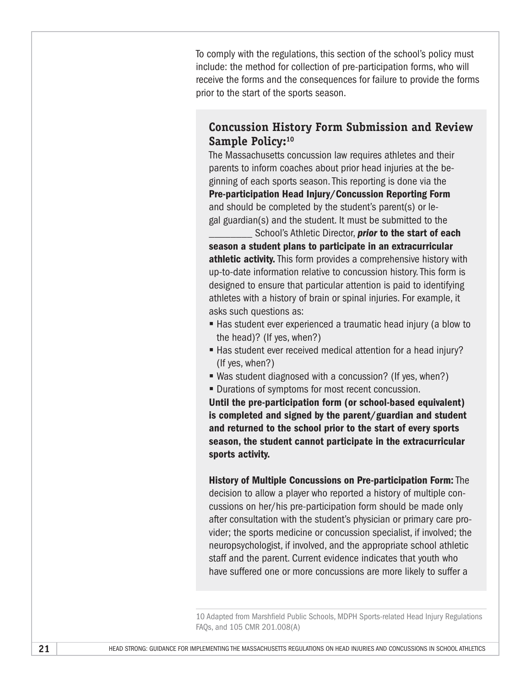To comply with the regulations, this section of the school's policy must include: the method for collection of pre-participation forms, who will receive the forms and the consequences for failure to provide the forms prior to the start of the sports season.

### **Concussion History Form Submission and Review**  Sample Policy:<sup>10</sup>

The Massachusetts concussion law requires athletes and their parents to inform coaches about prior head injuries at the beginning of each sports season. This reporting is done via the Pre-participation Head Injury/Concussion Reporting Form and should be completed by the student's parent(s) or legal guardian(s) and the student. It must be submitted to the

School's Athletic Director, *prior* to the start of each season a student plans to participate in an extracurricular athletic activity. This form provides a comprehensive history with up-to-date information relative to concussion history. This form is designed to ensure that particular attention is paid to identifying athletes with a history of brain or spinal injuries. For example, it asks such questions as:

- Has student ever experienced a traumatic head injury (a blow to the head)? (If yes, when?)
- Has student ever received medical attention for a head injury? (If yes, when?)
- Was student diagnosed with a concussion? (If yes, when?)
- Durations of symptoms for most recent concussion.

Until the pre-participation form (or school-based equivalent) is completed and signed by the parent/guardian and student and returned to the school prior to the start of every sports season, the student cannot participate in the extracurricular sports activity.

History of Multiple Concussions on Pre-participation Form: The decision to allow a player who reported a history of multiple concussions on her/his pre-participation form should be made only after consultation with the student's physician or primary care provider; the sports medicine or concussion specialist, if involved; the neuropsychologist, if involved, and the appropriate school athletic staff and the parent. Current evidence indicates that youth who have suffered one or more concussions are more likely to suffer a

10 Adapted from Marshfield Public Schools, MDPH Sports-related Head Injury Regulations FAQs, and 105 CMR 201.008(A)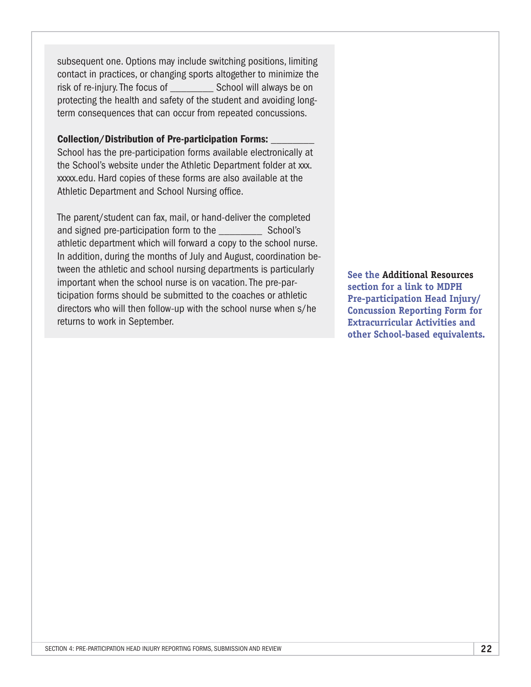subsequent one. Options may include switching positions, limiting contact in practices, or changing sports altogether to minimize the risk of re-injury. The focus of School will always be on protecting the health and safety of the student and avoiding longterm consequences that can occur from repeated concussions.

#### Collection/Distribution of Pre-participation Forms: \_\_\_\_\_\_\_\_

School has the pre-participation forms available electronically at the School's website under the Athletic Department folder at xxx. xxxxx.edu. Hard copies of these forms are also available at the Athletic Department and School Nursing office.

The parent/student can fax, mail, or hand-deliver the completed and signed pre-participation form to the School's athletic department which will forward a copy to the school nurse. In addition, during the months of July and August, coordination between the athletic and school nursing departments is particularly important when the school nurse is on vacation. The pre-participation forms should be submitted to the coaches or athletic directors who will then follow-up with the school nurse when s/he returns to work in September.

**See the Additional Resources section for a link to MDPH Pre-participation Head Injury/ Concussion Reporting Form for Extracurricular Activities and other School-based equivalents.**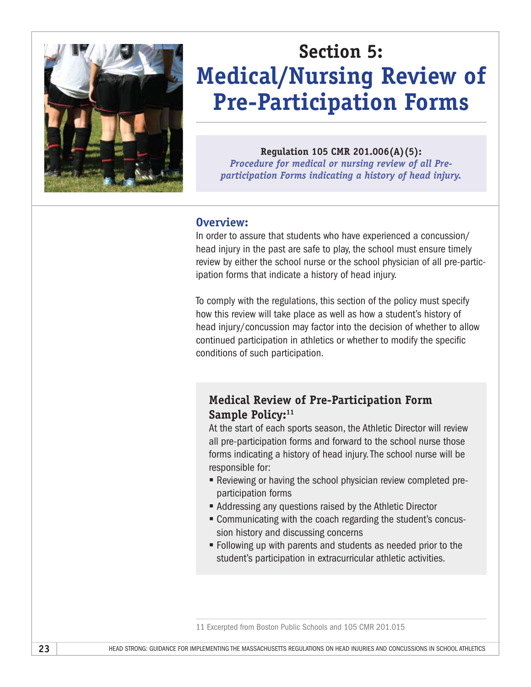

# **Section 5: Medical/Nursing Review of Pre-Participation Forms**

**Regulation 105 CMR 201.006(A)(5):** 

*Procedure for medical or nursing review of all Preparticipation Forms indicating a history of head injury.*

#### **Overview:**

In order to assure that students who have experienced a concussion/ head injury in the past are safe to play, the school must ensure timely review by either the school nurse or the school physician of all pre-participation forms that indicate a history of head injury.

To comply with the regulations, this section of the policy must specify how this review will take place as well as how a student's history of head injury/concussion may factor into the decision of whether to allow continued participation in athletics or whether to modify the specific conditions of such participation.

### **Medical Review of Pre-Participation Form**  Sample Policy:<sup>11</sup>

At the start of each sports season, the Athletic Director will review all pre-participation forms and forward to the school nurse those forms indicating a history of head injury. The school nurse will be responsible for:

- § Reviewing or having the school physician review completed preparticipation forms
- Addressing any questions raised by the Athletic Director
- Communicating with the coach regarding the student's concussion history and discussing concerns
- § Following up with parents and students as needed prior to the student's participation in extracurricular athletic activities.

<sup>11</sup> Excerpted from Boston Public Schools and 105 CMR 201.015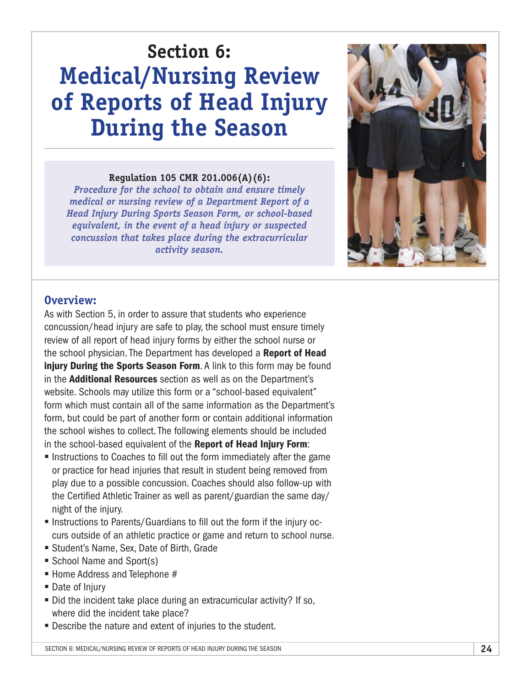# **Section 6: Medical/Nursing Review of Reports of Head Injury During the Season**

#### **Regulation 105 CMR 201.006(A)(6):**

*Procedure for the school to obtain and ensure timely medical or nursing review of a Department Report of a Head Injury During Sports Season Form, or school-based equivalent, in the event of a head injury or suspected concussion that takes place during the extracurricular activity season.*



#### **Overview:**

As with Section 5, in order to assure that students who experience concussion/head injury are safe to play, the school must ensure timely review of all report of head injury forms by either the school nurse or the school physician. The Department has developed a Report of Head injury During the Sports Season Form. A link to this form may be found in the **Additional Resources** section as well as on the Department's website. Schools may utilize this form or a "school-based equivalent" form which must contain all of the same information as the Department's form, but could be part of another form or contain additional information the school wishes to collect. The following elements should be included in the school-based equivalent of the Report of Head Injury Form:

- Instructions to Coaches to fill out the form immediately after the game or practice for head injuries that result in student being removed from play due to a possible concussion. Coaches should also follow-up with the Certified Athletic Trainer as well as parent/guardian the same day/ night of the injury.
- § Instructions to Parents/Guardians to fill out the form if the injury occurs outside of an athletic practice or game and return to school nurse.
- Student's Name, Sex, Date of Birth, Grade
- School Name and Sport(s)
- Home Address and Telephone #
- Date of Injury
- Did the incident take place during an extracurricular activity? If so, where did the incident take place?
- Describe the nature and extent of injuries to the student.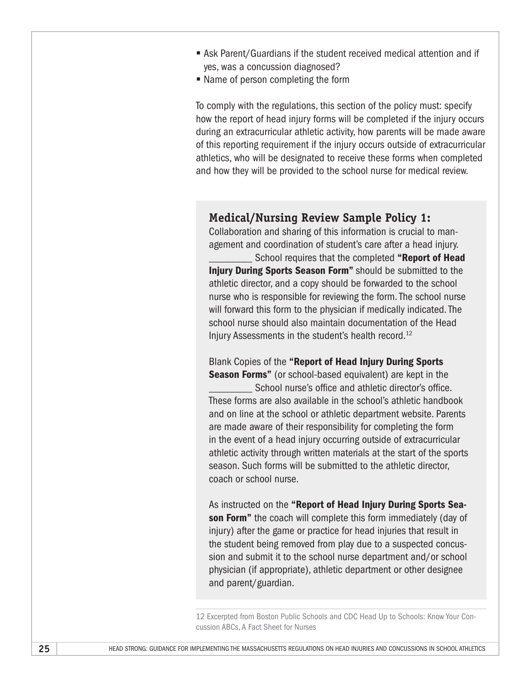- Ask Parent/Guardians if the student received medical attention and if yes, was a concussion diagnosed?
- Name of person completing the form

To comply with the regulations, this section of the policy must: specify how the report of head injury forms will be completed if the injury occurs during an extracurricular athletic activity, how parents will be made aware of this reporting requirement if the injury occurs outside of extracurricular athletics, who will be designated to receive these forms when completed and how they will be provided to the school nurse for medical review.

#### **Medical/Nursing Review Sample Policy 1:**

Collaboration and sharing of this information is crucial to management and coordination of student's care after a head injury. School requires that the completed "Report of Head Injury During Sports Season Form" should be submitted to the athletic director, and a copy should be forwarded to the school nurse who is responsible for reviewing the form. The school nurse will forward this form to the physician if medically indicated. The school nurse should also maintain documentation of the Head Injury Assessments in the student's health record.12

Blank Copies of the "Report of Head Injury During Sports **Season Forms**" (or school-based equivalent) are kept in the School nurse's office and athletic director's office. These forms are also available in the school's athletic handbook and on line at the school or athletic department website. Parents are made aware of their responsibility for completing the form in the event of a head injury occurring outside of extracurricular athletic activity through written materials at the start of the sports season. Such forms will be submitted to the athletic director, coach or school nurse.

As instructed on the "Report of Head Injury During Sports Season Form" the coach will complete this form immediately (day of injury) after the game or practice for head injuries that result in the student being removed from play due to a suspected concussion and submit it to the school nurse department and/or school physician (if appropriate), athletic department or other designee and parent/guardian.

12 Excerpted from Boston Public Schools and CDC Head Up to Schools: Know Your Concussion ABCs, A Fact Sheet for Nurses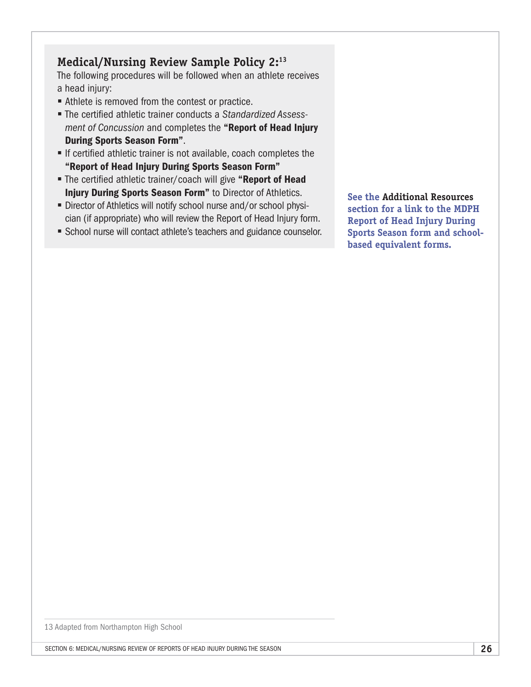## **Medical/Nursing Review Sample Policy 2:13**

The following procedures will be followed when an athlete receives a head injury:

- Athlete is removed from the contest or practice.
- § The certified athletic trainer conducts a *Standardized Assessment of Concussion* and completes the "Report of Head Injury During Sports Season Form".
- If certified athletic trainer is not available, coach completes the "Report of Head Injury During Sports Season Form"
- The certified athletic trainer/coach will give "Report of Head **Injury During Sports Season Form**" to Director of Athletics.
- Director of Athletics will notify school nurse and/or school physician (if appropriate) who will review the Report of Head Injury form.
- School nurse will contact athlete's teachers and guidance counselor.

**See the Additional Resources section for a link to the MDPH Report of Head Injury During Sports Season form and schoolbased equivalent forms.**

13 Adapted from Northampton High School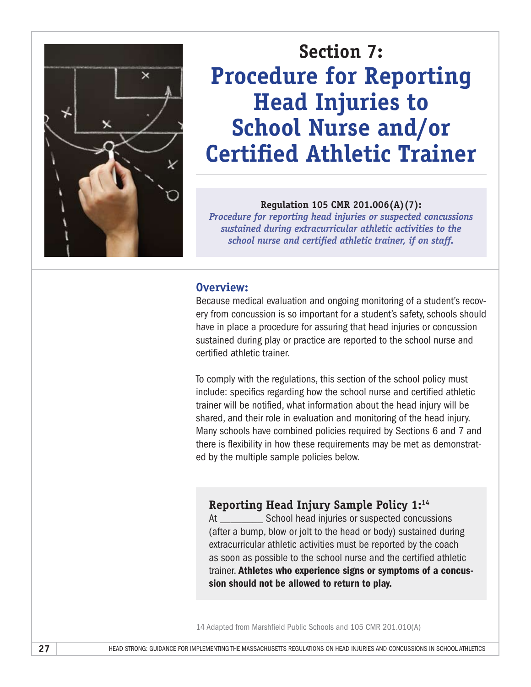

# **Section 7: Procedure for Reporting Head Injuries to School Nurse and/or Certified Athletic Trainer**

#### **Regulation 105 CMR 201.006(A)(7):**

*Procedure for reporting head injuries or suspected concussions sustained during extracurricular athletic activities to the school nurse and certified athletic trainer, if on staff.*

#### **Overview:**

Because medical evaluation and ongoing monitoring of a student's recovery from concussion is so important for a student's safety, schools should have in place a procedure for assuring that head injuries or concussion sustained during play or practice are reported to the school nurse and certified athletic trainer.

To comply with the regulations, this section of the school policy must include: specifics regarding how the school nurse and certified athletic trainer will be notified, what information about the head injury will be shared, and their role in evaluation and monitoring of the head injury. Many schools have combined policies required by Sections 6 and 7 and there is flexibility in how these requirements may be met as demonstrated by the multiple sample policies below.

# **Reporting Head Injury Sample Policy 1:14**

At School head injuries or suspected concussions (after a bump, blow or jolt to the head or body) sustained during extracurricular athletic activities must be reported by the coach as soon as possible to the school nurse and the certified athletic trainer. Athletes who experience signs or symptoms of a concussion should not be allowed to return to play.

<sup>14</sup> Adapted from Marshfield Public Schools and 105 CMR 201.010(A)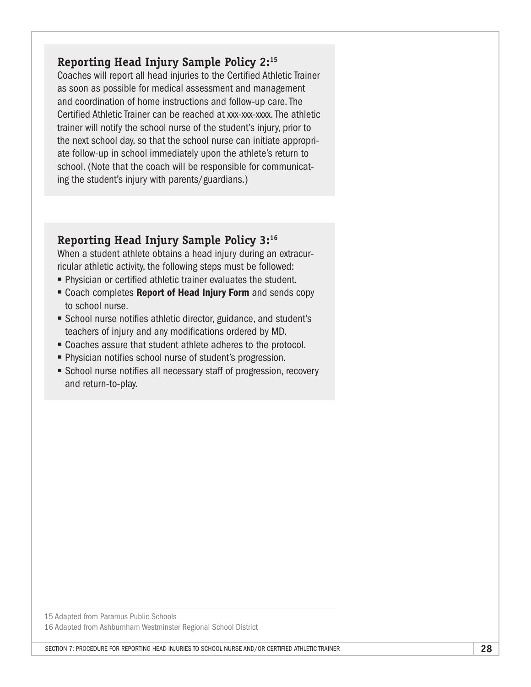## **Reporting Head Injury Sample Policy 2:15**

Coaches will report all head injuries to the Certified Athletic Trainer as soon as possible for medical assessment and management and coordination of home instructions and follow-up care. The Certified Athletic Trainer can be reached at xxx-xxx-xxxx. The athletic trainer will notify the school nurse of the student's injury, prior to the next school day, so that the school nurse can initiate appropriate follow-up in school immediately upon the athlete's return to school. (Note that the coach will be responsible for communicating the student's injury with parents/guardians.)

### **Reporting Head Injury Sample Policy 3:16**

When a student athlete obtains a head injury during an extracurricular athletic activity, the following steps must be followed:

- Physician or certified athletic trainer evaluates the student.
- Coach completes Report of Head Injury Form and sends copy to school nurse.
- School nurse notifies athletic director, guidance, and student's teachers of injury and any modifications ordered by MD.
- Coaches assure that student athlete adheres to the protocol.
- Physician notifies school nurse of student's progression.
- School nurse notifies all necessary staff of progression, recovery and return-to-play.

15 Adapted from Paramus Public Schools 16 Adapted from Ashburnham Westminster Regional School District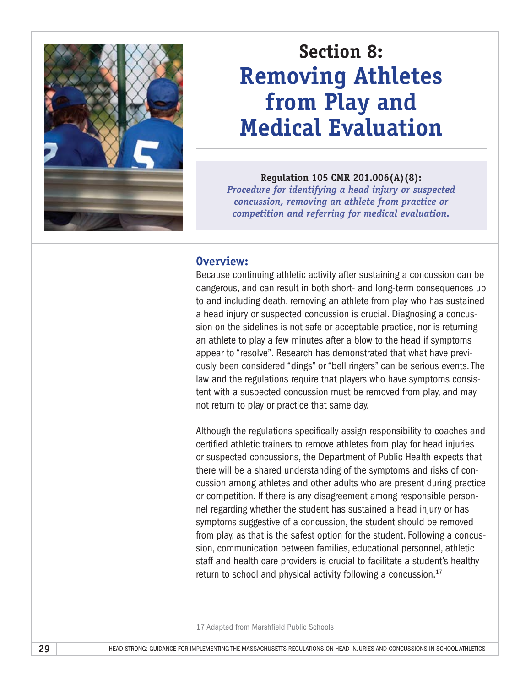

# **Section 8: Removing Athletes from Play and Medical Evaluation**

#### **Regulation 105 CMR 201.006(A)(8):**

*Procedure for identifying a head injury or suspected concussion, removing an athlete from practice or competition and referring for medical evaluation.*

#### **Overview:**

Because continuing athletic activity after sustaining a concussion can be dangerous, and can result in both short- and long-term consequences up to and including death, removing an athlete from play who has sustained a head injury or suspected concussion is crucial. Diagnosing a concussion on the sidelines is not safe or acceptable practice, nor is returning an athlete to play a few minutes after a blow to the head if symptoms appear to "resolve". Research has demonstrated that what have previously been considered "dings" or "bell ringers" can be serious events. The law and the regulations require that players who have symptoms consistent with a suspected concussion must be removed from play, and may not return to play or practice that same day.

Although the regulations specifically assign responsibility to coaches and certified athletic trainers to remove athletes from play for head injuries or suspected concussions, the Department of Public Health expects that there will be a shared understanding of the symptoms and risks of concussion among athletes and other adults who are present during practice or competition. If there is any disagreement among responsible personnel regarding whether the student has sustained a head injury or has symptoms suggestive of a concussion, the student should be removed from play, as that is the safest option for the student. Following a concussion, communication between families, educational personnel, athletic staff and health care providers is crucial to facilitate a student's healthy return to school and physical activity following a concussion. $17$ 

<sup>17</sup> Adapted from Marshfield Public Schools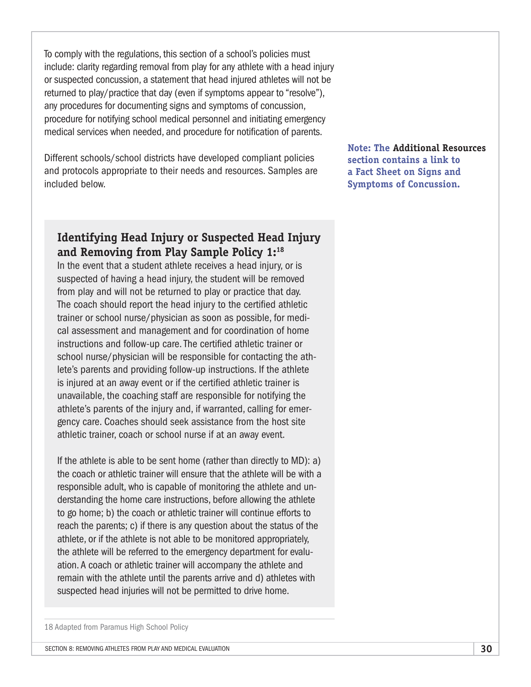To comply with the regulations, this section of a school's policies must include: clarity regarding removal from play for any athlete with a head injury or suspected concussion, a statement that head injured athletes will not be returned to play/practice that day (even if symptoms appear to "resolve"), any procedures for documenting signs and symptoms of concussion, procedure for notifying school medical personnel and initiating emergency medical services when needed, and procedure for notification of parents.

Different schools/school districts have developed compliant policies and protocols appropriate to their needs and resources. Samples are included below.

**Note: The Additional Resources section contains a link to a Fact Sheet on Signs and Symptoms of Concussion.**

### **Identifying Head Injury or Suspected Head Injury and Removing from Play Sample Policy 1:18**

In the event that a student athlete receives a head injury, or is suspected of having a head injury, the student will be removed from play and will not be returned to play or practice that day. The coach should report the head injury to the certified athletic trainer or school nurse/physician as soon as possible, for medical assessment and management and for coordination of home instructions and follow-up care. The certified athletic trainer or school nurse/physician will be responsible for contacting the athlete's parents and providing follow-up instructions. If the athlete is injured at an away event or if the certified athletic trainer is unavailable, the coaching staff are responsible for notifying the athlete's parents of the injury and, if warranted, calling for emergency care. Coaches should seek assistance from the host site athletic trainer, coach or school nurse if at an away event.

If the athlete is able to be sent home (rather than directly to MD): a) the coach or athletic trainer will ensure that the athlete will be with a responsible adult, who is capable of monitoring the athlete and understanding the home care instructions, before allowing the athlete to go home; b) the coach or athletic trainer will continue efforts to reach the parents; c) if there is any question about the status of the athlete, or if the athlete is not able to be monitored appropriately, the athlete will be referred to the emergency department for evaluation. A coach or athletic trainer will accompany the athlete and remain with the athlete until the parents arrive and d) athletes with suspected head injuries will not be permitted to drive home.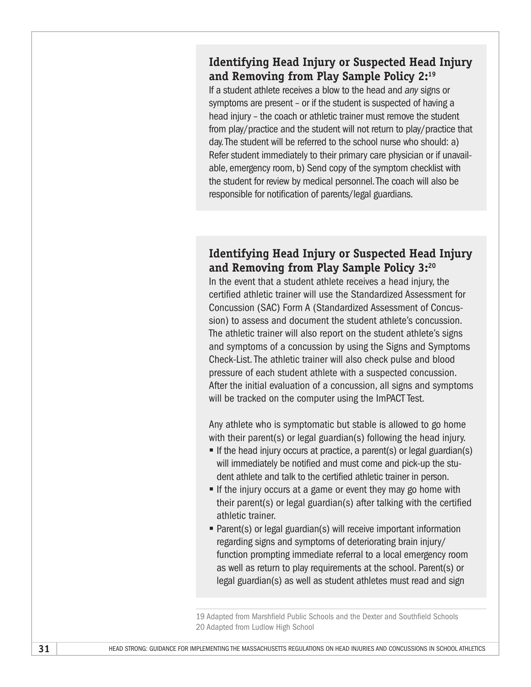### **Identifying Head Injury or Suspected Head Injury and Removing from Play Sample Policy 2:19**

If a student athlete receives a blow to the head and *any* signs or symptoms are present – or if the student is suspected of having a head injury – the coach or athletic trainer must remove the student from play/practice and the student will not return to play/practice that day. The student will be referred to the school nurse who should: a) Refer student immediately to their primary care physician or if unavailable, emergency room, b) Send copy of the symptom checklist with the student for review by medical personnel. The coach will also be responsible for notification of parents/legal guardians.

### **Identifying Head Injury or Suspected Head Injury and Removing from Play Sample Policy 3:20**

In the event that a student athlete receives a head injury, the certified athletic trainer will use the Standardized Assessment for Concussion (SAC) Form A (Standardized Assessment of Concussion) to assess and document the student athlete's concussion. The athletic trainer will also report on the student athlete's signs and symptoms of a concussion by using the Signs and Symptoms Check-List. The athletic trainer will also check pulse and blood pressure of each student athlete with a suspected concussion. After the initial evaluation of a concussion, all signs and symptoms will be tracked on the computer using the ImPACT Test.

Any athlete who is symptomatic but stable is allowed to go home with their parent(s) or legal guardian(s) following the head injury.

- If the head injury occurs at practice, a parent(s) or legal guardian(s) will immediately be notified and must come and pick-up the student athlete and talk to the certified athletic trainer in person.
- **•** If the injury occurs at a game or event they may go home with their parent(s) or legal guardian(s) after talking with the certified athletic trainer.
- Parent(s) or legal guardian(s) will receive important information regarding signs and symptoms of deteriorating brain injury/ function prompting immediate referral to a local emergency room as well as return to play requirements at the school. Parent(s) or legal guardian(s) as well as student athletes must read and sign

19 Adapted from Marshfield Public Schools and the Dexter and Southfield Schools 20 Adapted from Ludlow High School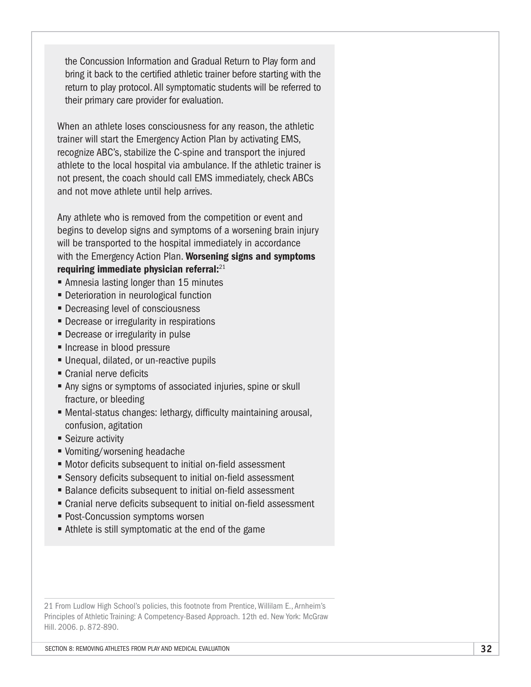the Concussion Information and Gradual Return to Play form and bring it back to the certified athletic trainer before starting with the return to play protocol. All symptomatic students will be referred to their primary care provider for evaluation.

When an athlete loses consciousness for any reason, the athletic trainer will start the Emergency Action Plan by activating EMS, recognize ABC's, stabilize the C-spine and transport the injured athlete to the local hospital via ambulance. If the athletic trainer is not present, the coach should call EMS immediately, check ABCs and not move athlete until help arrives.

Any athlete who is removed from the competition or event and begins to develop signs and symptoms of a worsening brain injury will be transported to the hospital immediately in accordance with the Emergency Action Plan. Worsening signs and symptoms requiring immediate physician referral: $21$ 

- Amnesia lasting longer than 15 minutes
- Deterioration in neurological function
- Decreasing level of consciousness
- Decrease or irregularity in respirations
- Decrease or irregularity in pulse
- Increase in blood pressure
- Unequal, dilated, or un-reactive pupils
- Cranial nerve deficits
- Any signs or symptoms of associated injuries, spine or skull fracture, or bleeding
- Mental-status changes: lethargy, difficulty maintaining arousal, confusion, agitation
- Seizure activity
- § Vomiting/worsening headache
- Motor deficits subsequent to initial on-field assessment
- Sensory deficits subsequent to initial on-field assessment
- Balance deficits subsequent to initial on-field assessment
- Cranial nerve deficits subsequent to initial on-field assessment
- Post-Concussion symptoms worsen
- Athlete is still symptomatic at the end of the game

21 From Ludlow High School's policies, this footnote from Prentice, Willilam E., Arnheim's Principles of Athletic Training: A Competency-Based Approach. 12th ed. New York: McGraw Hill. 2006. p. 872-890.

Section 8: REMOVING ATHLETES FROM PLAY AND MEDICAL EVALUATION **32**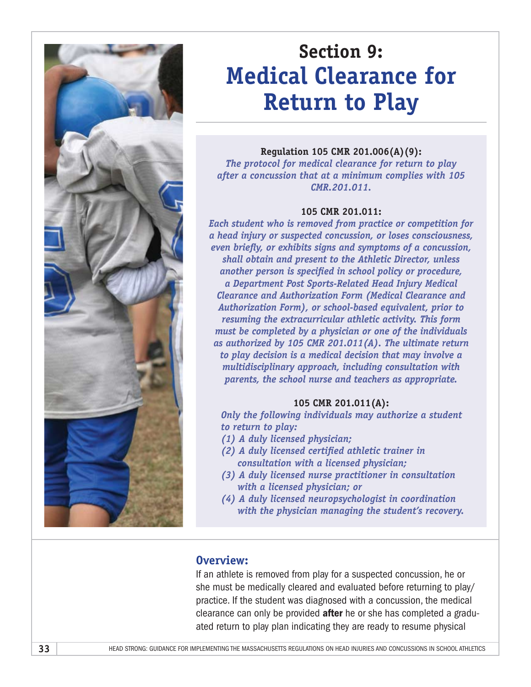

# **Section 9: Medical Clearance for Return to Play**

#### **Regulation 105 CMR 201.006(A)(9):**

*The protocol for medical clearance for return to play after a concussion that at a minimum complies with 105 CMR.201.011.*

#### **105 CMR 201.011:**

*Each student who is removed from practice or competition for a head injury or suspected concussion, or loses consciousness, even briefly, or exhibits signs and symptoms of a concussion, shall obtain and present to the Athletic Director, unless another person is specified in school policy or procedure, a Department Post Sports-Related Head Injury Medical Clearance and Authorization Form (Medical Clearance and Authorization Form), or school-based equivalent, prior to resuming the extracurricular athletic activity. This form must be completed by a physician or one of the individuals as authorized by 105 CMR 201.011(A). The ultimate return to play decision is a medical decision that may involve a multidisciplinary approach, including consultation with parents, the school nurse and teachers as appropriate.* 

#### **105 CMR 201.011(A):**

*Only the following individuals may authorize a student to return to play:* 

- *(1) A duly licensed physician;*
- *(2) A duly licensed certified athletic trainer in consultation with a licensed physician;*
- *(3) A duly licensed nurse practitioner in consultation with a licensed physician; or*
- *(4) A duly licensed neuropsychologist in coordination with the physician managing the student's recovery.*

#### **Overview:**

If an athlete is removed from play for a suspected concussion, he or she must be medically cleared and evaluated before returning to play/ practice. If the student was diagnosed with a concussion, the medical clearance can only be provided **after** he or she has completed a graduated return to play plan indicating they are ready to resume physical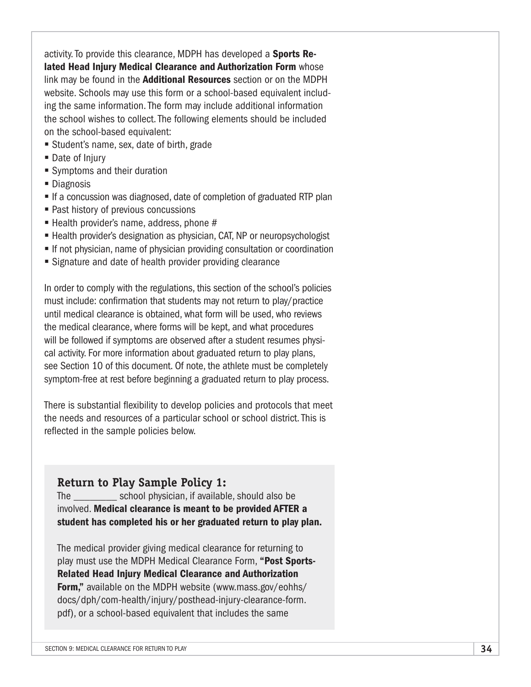activity. To provide this clearance, MDPH has developed a **Sports Re**lated Head Injury Medical Clearance and Authorization Form whose link may be found in the **Additional Resources** section or on the MDPH website. Schools may use this form or a school-based equivalent including the same information. The form may include additional information the school wishes to collect. The following elements should be included on the school-based equivalent:

- Student's name, sex, date of birth, grade
- Date of Injury
- Symptoms and their duration
- Diagnosis
- If a concussion was diagnosed, date of completion of graduated RTP plan
- Past history of previous concussions
- $\blacksquare$  Health provider's name, address, phone #
- Health provider's designation as physician, CAT, NP or neuropsychologist
- **•** If not physician, name of physician providing consultation or coordination
- Signature and date of health provider providing clearance

In order to comply with the regulations, this section of the school's policies must include: confirmation that students may not return to play/practice until medical clearance is obtained, what form will be used, who reviews the medical clearance, where forms will be kept, and what procedures will be followed if symptoms are observed after a student resumes physical activity. For more information about graduated return to play plans, see Section 10 of this document. Of note, the athlete must be completely symptom-free at rest before beginning a graduated return to play process.

There is substantial flexibility to develop policies and protocols that meet the needs and resources of a particular school or school district. This is reflected in the sample policies below.

### **Return to Play Sample Policy 1:**

The \_\_\_\_\_\_\_\_ school physician, if available, should also be involved. Medical clearance is meant to be provided AFTER a student has completed his or her graduated return to play plan.

The medical provider giving medical clearance for returning to play must use the MDPH Medical Clearance Form, "Post Sports-Related Head Injury Medical Clearance and Authorization Form," available on the MDPH website ([www.mass.gov/eohhs/](http://www.mass.gov/eohhs/docs/dph/com-health/injury/posthead-injury-clearance-form.pdf) [docs/dph/com-health/injury/posthead-injury-clearance-form.](http://www.mass.gov/eohhs/docs/dph/com-health/injury/posthead-injury-clearance-form.pdf) [pdf](http://www.mass.gov/eohhs/docs/dph/com-health/injury/posthead-injury-clearance-form.pdf)), or a school-based equivalent that includes the same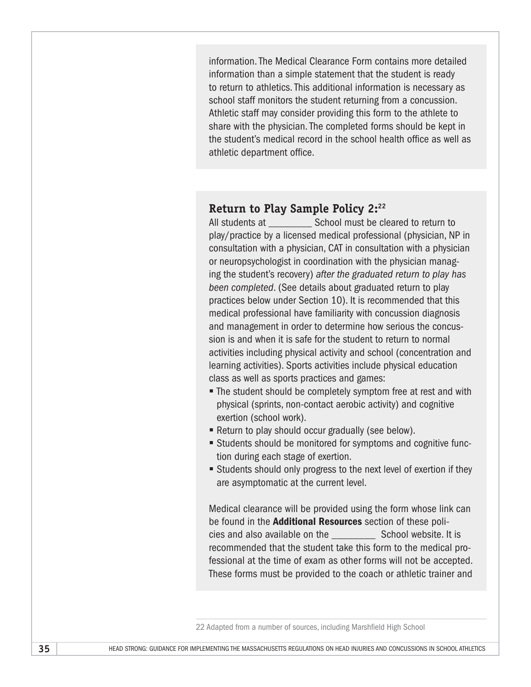information. The Medical Clearance Form contains more detailed information than a simple statement that the student is ready to return to athletics. This additional information is necessary as school staff monitors the student returning from a concussion. Athletic staff may consider providing this form to the athlete to share with the physician. The completed forms should be kept in the student's medical record in the school health office as well as athletic department office.

#### **Return to Play Sample Policy 2:22**

All students at The School must be cleared to return to play/practice by a licensed medical professional (physician, NP in consultation with a physician, CAT in consultation with a physician or neuropsychologist in coordination with the physician managing the student's recovery) *after the graduated return to play has been completed*. (See details about graduated return to play practices below under Section 10). It is recommended that this medical professional have familiarity with concussion diagnosis and management in order to determine how serious the concussion is and when it is safe for the student to return to normal activities including physical activity and school (concentration and learning activities). Sports activities include physical education class as well as sports practices and games:

- The student should be completely symptom free at rest and with physical (sprints, non-contact aerobic activity) and cognitive exertion (school work).
- Return to play should occur gradually (see below).
- Students should be monitored for symptoms and cognitive function during each stage of exertion.
- Students should only progress to the next level of exertion if they are asymptomatic at the current level.

Medical clearance will be provided using the form whose link can be found in the **Additional Resources** section of these policies and also available on the \_\_\_\_\_\_\_\_ School website. It is recommended that the student take this form to the medical professional at the time of exam as other forms will not be accepted. These forms must be provided to the coach or athletic trainer and

22 Adapted from a number of sources, including Marshfield High School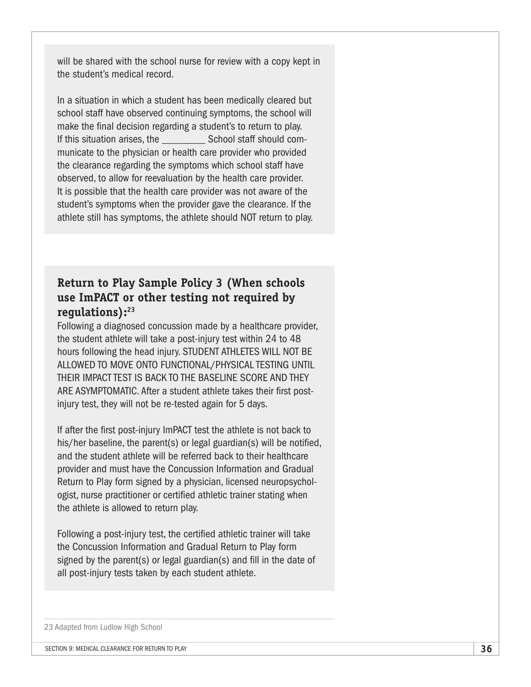will be shared with the school nurse for review with a copy kept in the student's medical record.

In a situation in which a student has been medically cleared but school staff have observed continuing symptoms, the school will make the final decision regarding a student's to return to play. If this situation arises, the School staff should communicate to the physician or health care provider who provided the clearance regarding the symptoms which school staff have observed, to allow for reevaluation by the health care provider. It is possible that the health care provider was not aware of the student's symptoms when the provider gave the clearance. If the athlete still has symptoms, the athlete should NOT return to play.

# **Return to Play Sample Policy 3 (When schools use ImPACT or other testing not required by regulations):23**

Following a diagnosed concussion made by a healthcare provider, the student athlete will take a post-injury test within 24 to 48 hours following the head injury. STUDENT ATHLETES WILL NOT BE ALLOWED TO MOVE ONTO FUNCTIONAL/PHYSICAL TESTING UNTIL THEIR IMPACT TEST IS BACK TO THE BASELINE SCORE AND THEY ARE ASYMPTOMATIC. After a student athlete takes their first postinjury test, they will not be re-tested again for 5 days.

If after the first post-injury ImPACT test the athlete is not back to his/her baseline, the parent(s) or legal guardian(s) will be notified, and the student athlete will be referred back to their healthcare provider and must have the Concussion Information and Gradual Return to Play form signed by a physician, licensed neuropsychologist, nurse practitioner or certified athletic trainer stating when the athlete is allowed to return play.

Following a post-injury test, the certified athletic trainer will take the Concussion Information and Gradual Return to Play form signed by the parent(s) or legal guardian(s) and fill in the date of all post-injury tests taken by each student athlete.

#### 23 Adapted from Ludlow High School

SECTION 9: MEDICAL CLEARANCE FOR RETURN TO PLAY **36**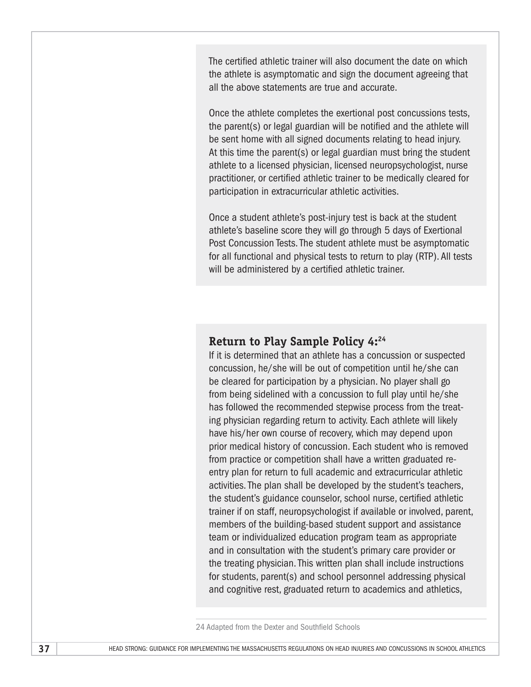The certified athletic trainer will also document the date on which the athlete is asymptomatic and sign the document agreeing that all the above statements are true and accurate.

Once the athlete completes the exertional post concussions tests, the parent(s) or legal guardian will be notified and the athlete will be sent home with all signed documents relating to head injury. At this time the parent(s) or legal guardian must bring the student athlete to a licensed physician, licensed neuropsychologist, nurse practitioner, or certified athletic trainer to be medically cleared for participation in extracurricular athletic activities.

Once a student athlete's post-injury test is back at the student athlete's baseline score they will go through 5 days of Exertional Post Concussion Tests. The student athlete must be asymptomatic for all functional and physical tests to return to play (RTP). All tests will be administered by a certified athletic trainer.

#### **Return to Play Sample Policy 4:24**

If it is determined that an athlete has a concussion or suspected concussion, he/she will be out of competition until he/she can be cleared for participation by a physician. No player shall go from being sidelined with a concussion to full play until he/she has followed the recommended stepwise process from the treating physician regarding return to activity. Each athlete will likely have his/her own course of recovery, which may depend upon prior medical history of concussion. Each student who is removed from practice or competition shall have a written graduated reentry plan for return to full academic and extracurricular athletic activities. The plan shall be developed by the student's teachers, the student's guidance counselor, school nurse, certified athletic trainer if on staff, neuropsychologist if available or involved, parent, members of the building-based student support and assistance team or individualized education program team as appropriate and in consultation with the student's primary care provider or the treating physician. This written plan shall include instructions for students, parent(s) and school personnel addressing physical and cognitive rest, graduated return to academics and athletics,

24 Adapted from the Dexter and Southfield Schools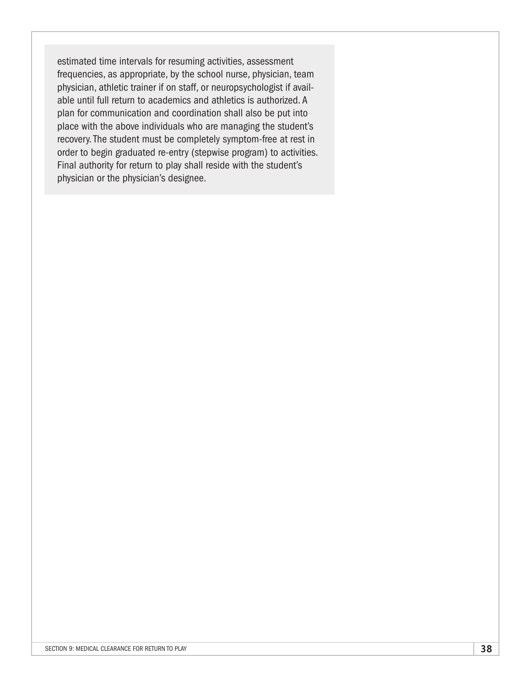estimated time intervals for resuming activities, assessment frequencies, as appropriate, by the school nurse, physician, team physician, athletic trainer if on staff, or neuropsychologist if available until full return to academics and athletics is authorized. A plan for communication and coordination shall also be put into place with the above individuals who are managing the student's recovery. The student must be completely symptom-free at rest in order to begin graduated re-entry (stepwise program) to activities. Final authority for return to play shall reside with the student's physician or the physician's designee.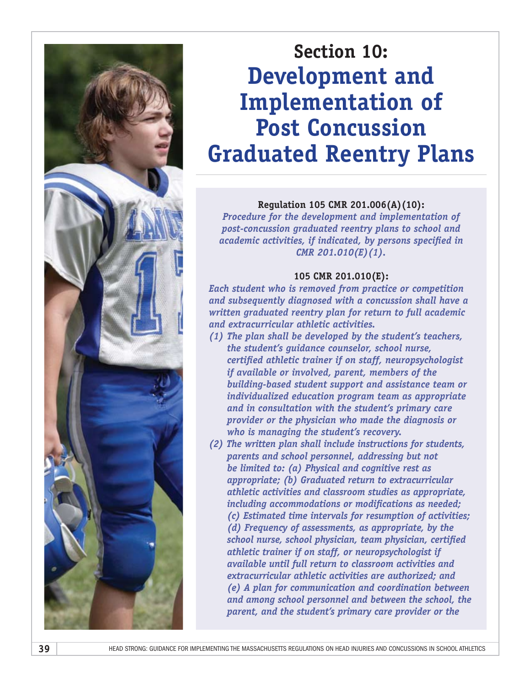

# **Section 10: Development and Implementation of Post Concussion Graduated Reentry Plans**

#### **Regulation 105 CMR 201.006(A)(10):**

*Procedure for the development and implementation of post-concussion graduated reentry plans to school and academic activities, if indicated, by persons specified in CMR 201.010(E)(1).*

#### **105 CMR 201.010(E):**

*Each student who is removed from practice or competition and subsequently diagnosed with a concussion shall have a written graduated reentry plan for return to full academic and extracurricular athletic activities.* 

- *(1) The plan shall be developed by the student's teachers, the student's guidance counselor, school nurse, certified athletic trainer if on staff, neuropsychologist if available or involved, parent, members of the building-based student support and assistance team or individualized education program team as appropriate and in consultation with the student's primary care provider or the physician who made the diagnosis or who is managing the student's recovery.*
- *(2) The written plan shall include instructions for students, parents and school personnel, addressing but not be limited to: (a) Physical and cognitive rest as appropriate; (b) Graduated return to extracurricular athletic activities and classroom studies as appropriate, including accommodations or modifications as needed; (c) Estimated time intervals for resumption of activities; (d) Frequency of assessments, as appropriate, by the school nurse, school physician, team physician, certified athletic trainer if on staff, or neuropsychologist if available until full return to classroom activities and extracurricular athletic activities are authorized; and (e) A plan for communication and coordination between and among school personnel and between the school, the parent, and the student's primary care provider or the*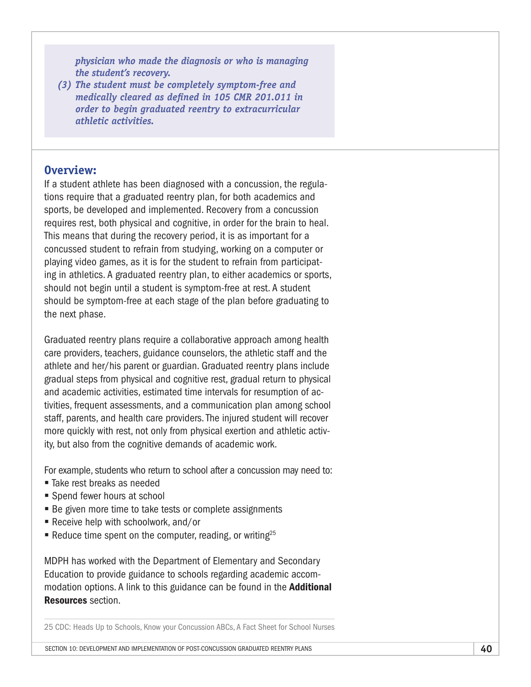*physician who made the diagnosis or who is managing the student's recovery.* 

*(3) The student must be completely symptom-free and medically cleared as defined in 105 CMR 201.011 in order to begin graduated reentry to extracurricular athletic activities.*

#### **Overview:**

If a student athlete has been diagnosed with a concussion, the regulations require that a graduated reentry plan, for both academics and sports, be developed and implemented. Recovery from a concussion requires rest, both physical and cognitive, in order for the brain to heal. This means that during the recovery period, it is as important for a concussed student to refrain from studying, working on a computer or playing video games, as it is for the student to refrain from participating in athletics. A graduated reentry plan, to either academics or sports, should not begin until a student is symptom-free at rest. A student should be symptom-free at each stage of the plan before graduating to the next phase.

Graduated reentry plans require a collaborative approach among health care providers, teachers, guidance counselors, the athletic staff and the athlete and her/his parent or guardian. Graduated reentry plans include gradual steps from physical and cognitive rest, gradual return to physical and academic activities, estimated time intervals for resumption of activities, frequent assessments, and a communication plan among school staff, parents, and health care providers. The injured student will recover more quickly with rest, not only from physical exertion and athletic activity, but also from the cognitive demands of academic work.

For example, students who return to school after a concussion may need to:

- Take rest breaks as needed
- Spend fewer hours at school
- Be given more time to take tests or complete assignments
- Receive help with schoolwork, and/or
- Reduce time spent on the computer, reading, or writing<sup>25</sup>

MDPH has worked with the Department of Elementary and Secondary Education to provide guidance to schools regarding academic accommodation options. A link to this guidance can be found in the **Additional** Resources section.

25 CDC: Heads Up to Schools, Know your Concussion ABCs, A Fact Sheet for School Nurses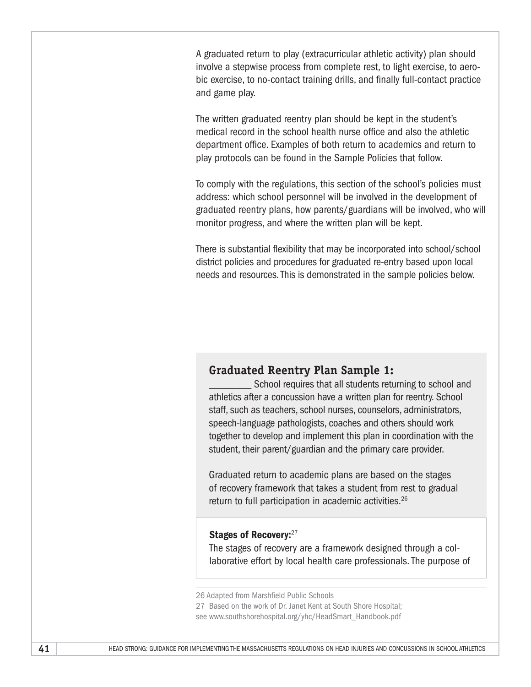A graduated return to play (extracurricular athletic activity) plan should involve a stepwise process from complete rest, to light exercise, to aerobic exercise, to no-contact training drills, and finally full-contact practice and game play.

The written graduated reentry plan should be kept in the student's medical record in the school health nurse office and also the athletic department office. Examples of both return to academics and return to play protocols can be found in the Sample Policies that follow.

To comply with the regulations, this section of the school's policies must address: which school personnel will be involved in the development of graduated reentry plans, how parents/guardians will be involved, who will monitor progress, and where the written plan will be kept.

There is substantial flexibility that may be incorporated into school/school district policies and procedures for graduated re-entry based upon local needs and resources. This is demonstrated in the sample policies below.

### **Graduated Reentry Plan Sample 1:**

School requires that all students returning to school and athletics after a concussion have a written plan for reentry. School staff, such as teachers, school nurses, counselors, administrators, speech-language pathologists, coaches and others should work together to develop and implement this plan in coordination with the student, their parent/guardian and the primary care provider.

Graduated return to academic plans are based on the stages of recovery framework that takes a student from rest to gradual return to full participation in academic activities.<sup>26</sup>

#### Stages of Recovery: 27

The stages of recovery are a framework designed through a collaborative effort by local health care professionals. The purpose of

<sup>26</sup> Adapted from Marshfield Public Schools

<sup>27</sup> Based on the work of Dr. Janet Kent at South Shore Hospital;

see [www.southshorehospital.org/yhc/HeadSmart\\_Handbook.pdf](http://www.southshorehospital.org/yhc/HeadSmart_Handbook.pdf)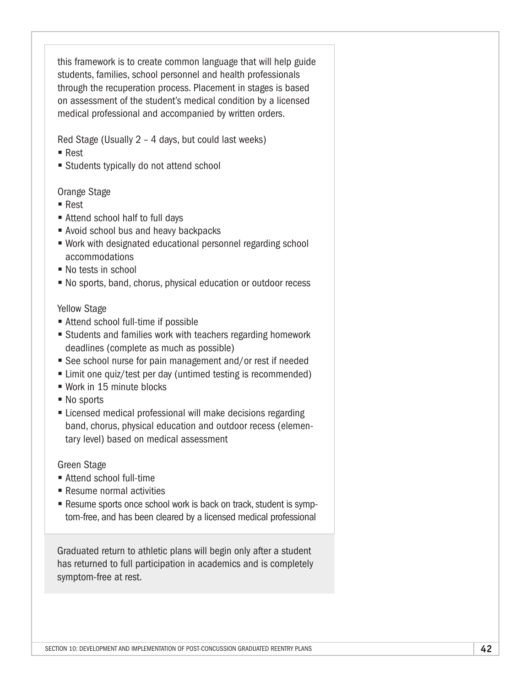this framework is to create common language that will help guide students, families, school personnel and health professionals through the recuperation process. Placement in stages is based on assessment of the student's medical condition by a licensed medical professional and accompanied by written orders.

Red Stage (Usually 2 – 4 days, but could last weeks)

- Rest
- Students typically do not attend school

#### Orange Stage

- Rest
- Attend school half to full days
- Avoid school bus and heavy backpacks
- Work with designated educational personnel regarding school accommodations
- No tests in school
- § No sports, band, chorus, physical education or outdoor recess

#### Yellow Stage

- Attend school full-time if possible
- Students and families work with teachers regarding homework deadlines (complete as much as possible)
- See school nurse for pain management and/or rest if needed
- Limit one quiz/test per day (untimed testing is recommended)
- Work in 15 minute blocks
- No sports
- Licensed medical professional will make decisions regarding band, chorus, physical education and outdoor recess (elementary level) based on medical assessment

Green Stage

- Attend school full-time
- § Resume normal activities
- Resume sports once school work is back on track, student is symptom-free, and has been cleared by a licensed medical professional

Graduated return to athletic plans will begin only after a student has returned to full participation in academics and is completely symptom-free at rest.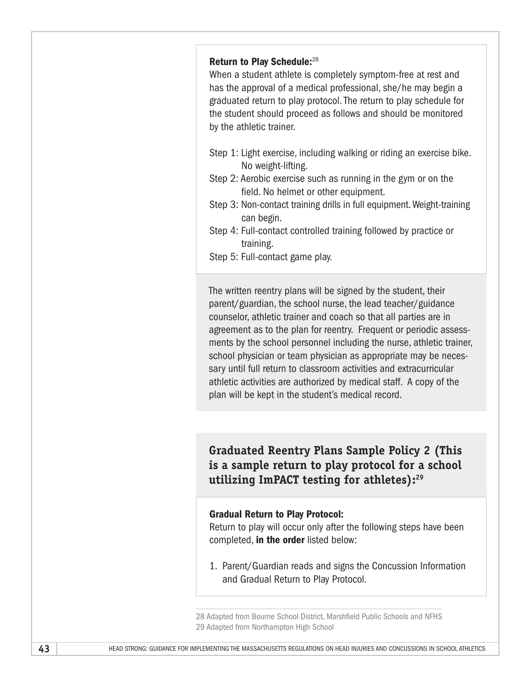#### Return to Play Schedule:<sup>28</sup>

When a student athlete is completely symptom-free at rest and has the approval of a medical professional, she/he may begin a graduated return to play protocol. The return to play schedule for the student should proceed as follows and should be monitored by the athletic trainer.

- Step 1: Light exercise, including walking or riding an exercise bike. No weight-lifting.
- Step 2: Aerobic exercise such as running in the gym or on the field. No helmet or other equipment.
- Step 3: Non-contact training drills in full equipment. Weight-training can begin.
- Step 4: Full-contact controlled training followed by practice or training.
- Step 5: Full-contact game play.

The written reentry plans will be signed by the student, their parent/guardian, the school nurse, the lead teacher/guidance counselor, athletic trainer and coach so that all parties are in agreement as to the plan for reentry. Frequent or periodic assessments by the school personnel including the nurse, athletic trainer, school physician or team physician as appropriate may be necessary until full return to classroom activities and extracurricular athletic activities are authorized by medical staff. A copy of the plan will be kept in the student's medical record.

**Graduated Reentry Plans Sample Policy 2 (This is a sample return to play protocol for a school utilizing ImPACT testing for athletes):29**

#### Gradual Return to Play Protocol:

Return to play will occur only after the following steps have been completed, in the order listed below:

1. Parent/Guardian reads and signs the Concussion Information and Gradual Return to Play Protocol.

28 Adapted from Bourne School District, Marshfield Public Schools and NFHS 29 Adapted from Northampton High School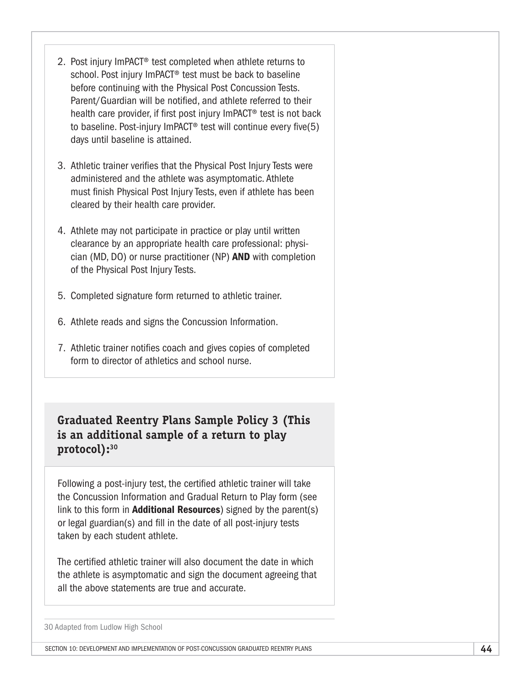- 2. Post injury ImPACT® test completed when athlete returns to school. Post injury ImPACT® test must be back to baseline before continuing with the Physical Post Concussion Tests. Parent/Guardian will be notified, and athlete referred to their health care provider, if first post injury ImPACT® test is not back to baseline. Post-injury ImPACT® test will continue every five(5) days until baseline is attained.
- 3. Athletic trainer verifies that the Physical Post Injury Tests were administered and the athlete was asymptomatic. Athlete must finish Physical Post Injury Tests, even if athlete has been cleared by their health care provider.
- 4. Athlete may not participate in practice or play until written clearance by an appropriate health care professional: physician (MD, DO) or nurse practitioner (NP) AND with completion of the Physical Post Injury Tests.
- 5. Completed signature form returned to athletic trainer.
- 6. Athlete reads and signs the Concussion Information.
- 7. Athletic trainer notifies coach and gives copies of completed form to director of athletics and school nurse.

# **Graduated Reentry Plans Sample Policy 3 (This is an additional sample of a return to play protocol):30**

Following a post-injury test, the certified athletic trainer will take the Concussion Information and Gradual Return to Play form (see link to this form in **Additional Resources**) signed by the parent(s) or legal guardian(s) and fill in the date of all post-injury tests taken by each student athlete.

The certified athletic trainer will also document the date in which the athlete is asymptomatic and sign the document agreeing that all the above statements are true and accurate.

30 Adapted from Ludlow High School

Section 10: DEVELOPMENT AND IMPLEMENTATION OF POST-CONCUSSION GRADUATED REENTRY PLANS **44**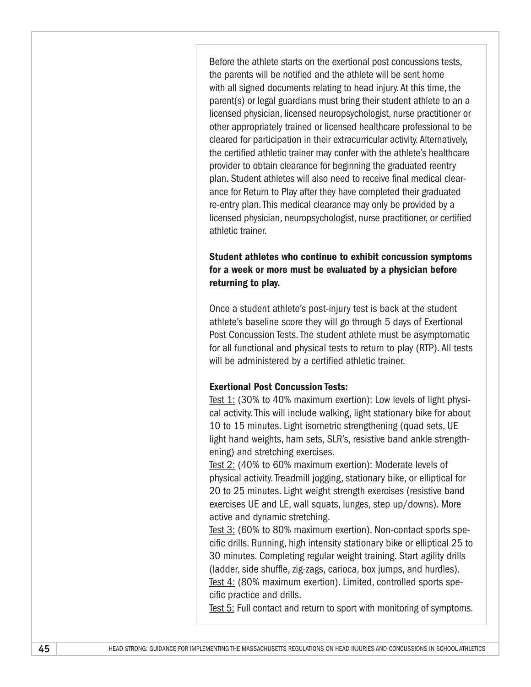Before the athlete starts on the exertional post concussions tests, the parents will be notified and the athlete will be sent home with all signed documents relating to head injury. At this time, the parent(s) or legal guardians must bring their student athlete to an a licensed physician, licensed neuropsychologist, nurse practitioner or other appropriately trained or licensed healthcare professional to be cleared for participation in their extracurricular activity. Alternatively, the certified athletic trainer may confer with the athlete's healthcare provider to obtain clearance for beginning the graduated reentry plan. Student athletes will also need to receive final medical clearance for Return to Play after they have completed their graduated re-entry plan. This medical clearance may only be provided by a licensed physician, neuropsychologist, nurse practitioner, or certified athletic trainer.

#### Student athletes who continue to exhibit concussion symptoms for a week or more must be evaluated by a physician before returning to play.

Once a student athlete's post-injury test is back at the student athlete's baseline score they will go through 5 days of Exertional Post Concussion Tests. The student athlete must be asymptomatic for all functional and physical tests to return to play (RTP). All tests will be administered by a certified athletic trainer.

#### Exertional Post Concussion Tests:

Test 1: (30% to 40% maximum exertion): Low levels of light physical activity. This will include walking, light stationary bike for about 10 to 15 minutes. Light isometric strengthening (quad sets, UE light hand weights, ham sets, SLR's, resistive band ankle strengthening) and stretching exercises.

Test 2: (40% to 60% maximum exertion): Moderate levels of physical activity. Treadmill jogging, stationary bike, or elliptical for 20 to 25 minutes. Light weight strength exercises (resistive band exercises UE and LE, wall squats, lunges, step up/downs). More active and dynamic stretching.

Test 3: (60% to 80% maximum exertion). Non-contact sports specific drills. Running, high intensity stationary bike or elliptical 25 to 30 minutes. Completing regular weight training. Start agility drills (ladder, side shuffle, zig-zags, carioca, box jumps, and hurdles). Test 4: (80% maximum exertion). Limited, controlled sports specific practice and drills.

Test 5: Full contact and return to sport with monitoring of symptoms.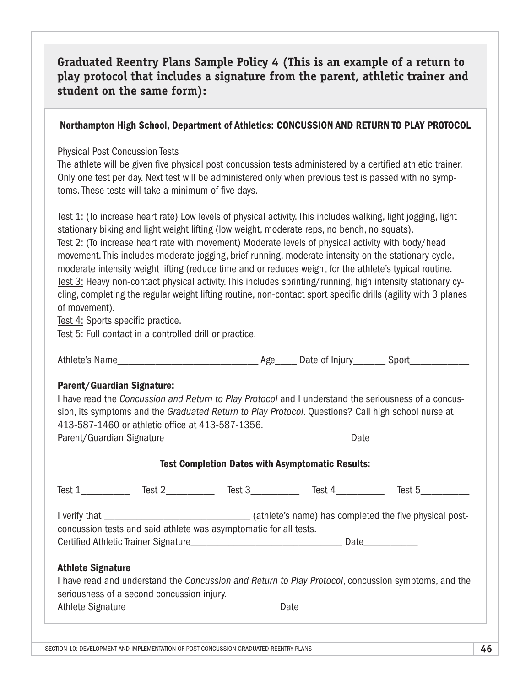## **Graduated Reentry Plans Sample Policy 4 (This is an example of a return to play protocol that includes a signature from the parent, athletic trainer and student on the same form):**

#### Northampton High School, Department of Athletics: CONCUSSION AND RETURN TO PLAY PROTOCOL

#### Physical Post Concussion Tests

The athlete will be given five physical post concussion tests administered by a certified athletic trainer. Only one test per day. Next test will be administered only when previous test is passed with no symptoms. These tests will take a minimum of five days.

Test 1: (To increase heart rate) Low levels of physical activity. This includes walking, light jogging, light stationary biking and light weight lifting (low weight, moderate reps, no bench, no squats). Test 2: (To increase heart rate with movement) Moderate levels of physical activity with body/head movement. This includes moderate jogging, brief running, moderate intensity on the stationary cycle, moderate intensity weight lifting (reduce time and or reduces weight for the athlete's typical routine. Test 3: Heavy non-contact physical activity. This includes sprinting/running, high intensity stationary cycling, completing the regular weight lifting routine, non-contact sport specific drills (agility with 3 planes of movement).

Test 4: Sports specific practice.

Test 5: Full contact in a controlled drill or practice.

Athlete's Name example and the same of the Age of Injury and Sport Sport and Age of Injury

#### Parent/Guardian Signature:

I have read the *Concussion and Return to Play Protocol* and I understand the seriousness of a concussion, its symptoms and the *Graduated Return to Play Protocol*. Questions? Call high school nurse at 413-587-1460 or athletic office at 413-587-1356.

Parent/Guardian Signature\_\_\_\_\_\_\_\_\_\_\_\_\_\_\_\_\_\_\_\_\_\_\_\_\_\_\_\_\_\_\_\_\_\_ Date\_\_\_\_\_\_\_\_\_\_

#### Test Completion Dates with Asymptomatic Results:

|                                                                                                                                                                                                 | Test 1 Test 2                                                     |  | Test 3 Test 4 | Test 5 |  |  |  |
|-------------------------------------------------------------------------------------------------------------------------------------------------------------------------------------------------|-------------------------------------------------------------------|--|---------------|--------|--|--|--|
|                                                                                                                                                                                                 | concussion tests and said athlete was asymptomatic for all tests. |  |               |        |  |  |  |
|                                                                                                                                                                                                 |                                                                   |  |               |        |  |  |  |
| <b>Athlete Signature</b><br>I have read and understand the Concussion and Return to Play Protocol, concussion symptoms, and the<br>seriousness of a second concussion injury.<br>Date _________ |                                                                   |  |               |        |  |  |  |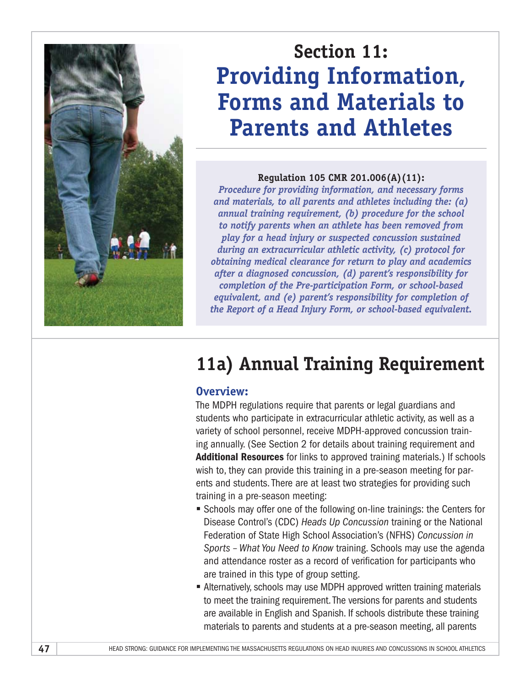

# **Section 11: Providing Information, Forms and Materials to Parents and Athletes**

#### **Regulation 105 CMR 201.006(A)(11):**

*Procedure for providing information, and necessary forms and materials, to all parents and athletes including the: (a) annual training requirement, (b) procedure for the school to notify parents when an athlete has been removed from play for a head injury or suspected concussion sustained during an extracurricular athletic activity, (c) protocol for obtaining medical clearance for return to play and academics after a diagnosed concussion, (d) parent's responsibility for completion of the Pre-participation Form, or school-based equivalent, and (e) parent's responsibility for completion of the Report of a Head Injury Form, or school-based equivalent.*

# **11a) Annual Training Requirement**

### **Overview:**

The MDPH regulations require that parents or legal guardians and students who participate in extracurricular athletic activity, as well as a variety of school personnel, receive MDPH-approved concussion training annually. (See Section 2 for details about training requirement and Additional Resources for links to approved training materials.) If schools wish to, they can provide this training in a pre-season meeting for parents and students. There are at least two strategies for providing such training in a pre-season meeting:

- Schools may offer one of the following on-line trainings: the Centers for Disease Control's (CDC) *Heads Up Concussion* training or the National Federation of State High School Association's (NFHS) *Concussion in Sports – What You Need to Know* training. Schools may use the agenda and attendance roster as a record of verification for participants who are trained in this type of group setting.
- Alternatively, schools may use MDPH approved written training materials to meet the training requirement. The versions for parents and students are available in English and Spanish. If schools distribute these training materials to parents and students at a pre-season meeting, all parents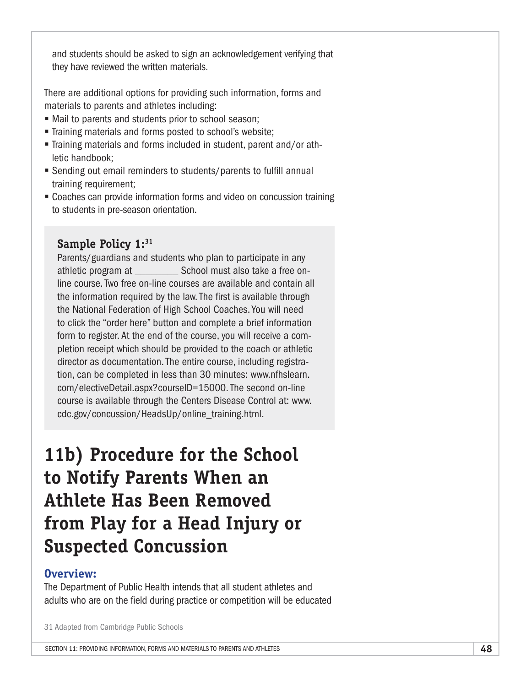and students should be asked to sign an acknowledgement verifying that they have reviewed the written materials.

There are additional options for providing such information, forms and materials to parents and athletes including:

- Mail to parents and students prior to school season;
- Training materials and forms posted to school's website;
- § Training materials and forms included in student, parent and/or athletic handbook;
- Sending out email reminders to students/parents to fulfill annual training requirement;
- Coaches can provide information forms and video on concussion training to students in pre-season orientation.

### **Sample Policy 1:31**

Parents/guardians and students who plan to participate in any athletic program at \_\_\_\_\_\_\_\_ School must also take a free online course. Two free on-line courses are available and contain all the information required by the law. The first is available through the National Federation of High School Coaches. You will need to click the "order here" button and complete a brief information form to register. At the end of the course, you will receive a completion receipt which should be provided to the coach or athletic director as documentation. The entire course, including registration, can be completed in less than 30 minutes: www.nfhslearn. com/electiveDetail.aspx?courseID=15000. The second on-line course is available through the Centers Disease Control at: [www.](http://www.cdc.gov/concussion/HeadsUp/online_training.html) [cdc.gov/concussion/HeadsUp/online\\_training.html.](http://www.cdc.gov/concussion/HeadsUp/online_training.html)

# **11b) Procedure for the School to Notify Parents When an Athlete Has Been Removed from Play for a Head Injury or Suspected Concussion**

### **Overview:**

The Department of Public Health intends that all student athletes and adults who are on the field during practice or competition will be educated

<sup>31</sup> Adapted from Cambridge Public Schools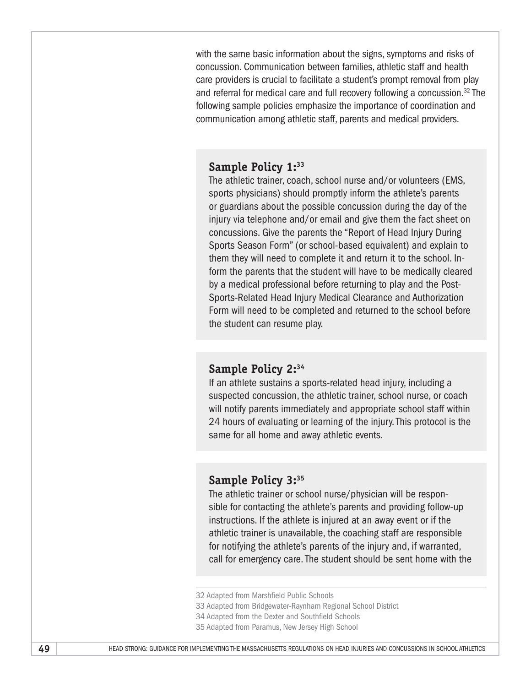with the same basic information about the signs, symptoms and risks of concussion. Communication between families, athletic staff and health care providers is crucial to facilitate a student's prompt removal from play and referral for medical care and full recovery following a concussion.<sup>32</sup> The following sample policies emphasize the importance of coordination and communication among athletic staff, parents and medical providers.

#### **Sample Policy 1:33**

The athletic trainer, coach, school nurse and/or volunteers (EMS, sports physicians) should promptly inform the athlete's parents or guardians about the possible concussion during the day of the injury via telephone and/or email and give them the fact sheet on concussions. Give the parents the "Report of Head Injury During Sports Season Form" (or school-based equivalent) and explain to them they will need to complete it and return it to the school. Inform the parents that the student will have to be medically cleared by a medical professional before returning to play and the Post-Sports-Related Head Injury Medical Clearance and Authorization Form will need to be completed and returned to the school before the student can resume play.

#### **Sample Policy 2:34**

If an athlete sustains a sports-related head injury, including a suspected concussion, the athletic trainer, school nurse, or coach will notify parents immediately and appropriate school staff within 24 hours of evaluating or learning of the injury. This protocol is the same for all home and away athletic events.

#### **Sample Policy 3:35**

The athletic trainer or school nurse/physician will be responsible for contacting the athlete's parents and providing follow-up instructions. If the athlete is injured at an away event or if the athletic trainer is unavailable, the coaching staff are responsible for notifying the athlete's parents of the injury and, if warranted, call for emergency care. The student should be sent home with the

<sup>32</sup> Adapted from Marshfield Public Schools

<sup>33</sup> Adapted from Bridgewater-Raynham Regional School District

<sup>34</sup> Adapted from the Dexter and Southfield Schools

<sup>35</sup> Adapted from Paramus, New Jersey High School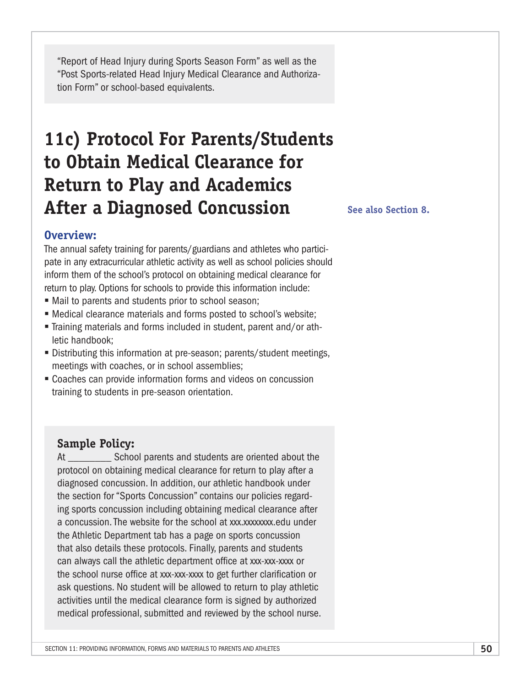"Report of Head Injury during Sports Season Form" as well as the "Post Sports-related Head Injury Medical Clearance and Authorization Form" or school-based equivalents.

# **11c) Protocol For Parents/Students to Obtain Medical Clearance for Return to Play and Academics After a Diagnosed Concussion**

**See also Section 8.**

### **Overview:**

The annual safety training for parents/guardians and athletes who participate in any extracurricular athletic activity as well as school policies should inform them of the school's protocol on obtaining medical clearance for return to play. Options for schools to provide this information include:

- Mail to parents and students prior to school season;
- Medical clearance materials and forms posted to school's website;
- § Training materials and forms included in student, parent and/or athletic handbook;
- Distributing this information at pre-season; parents/student meetings, meetings with coaches, or in school assemblies;
- Coaches can provide information forms and videos on concussion training to students in pre-season orientation.

#### **Sample Policy:**

At School parents and students are oriented about the protocol on obtaining medical clearance for return to play after a diagnosed concussion. In addition, our athletic handbook under the section for "Sports Concussion" contains our policies regarding sports concussion including obtaining medical clearance after a concussion. The website for the school at xxx.xxxxxxx.edu under the Athletic Department tab has a page on sports concussion that also details these protocols. Finally, parents and students can always call the athletic department office at xxx-xxx-xxxx or the school nurse office at xxx-xxx-xxxx to get further clarification or ask questions. No student will be allowed to return to play athletic activities until the medical clearance form is signed by authorized medical professional, submitted and reviewed by the school nurse.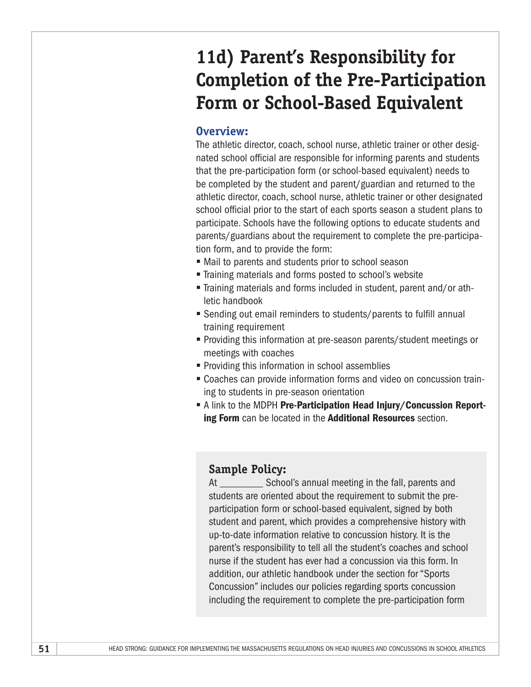# **11d) Parent's Responsibility for Completion of the Pre-Participation Form or School-Based Equivalent**

#### **Overview:**

The athletic director, coach, school nurse, athletic trainer or other designated school official are responsible for informing parents and students that the pre-participation form (or school-based equivalent) needs to be completed by the student and parent/guardian and returned to the athletic director, coach, school nurse, athletic trainer or other designated school official prior to the start of each sports season a student plans to participate. Schools have the following options to educate students and parents/guardians about the requirement to complete the pre-participation form, and to provide the form:

- Mail to parents and students prior to school season
- § Training materials and forms posted to school's website
- § Training materials and forms included in student, parent and/or athletic handbook
- Sending out email reminders to students/parents to fulfill annual training requirement
- Providing this information at pre-season parents/student meetings or meetings with coaches
- Providing this information in school assemblies
- Coaches can provide information forms and video on concussion training to students in pre-season orientation
- **E** A link to the MDPH Pre-Participation Head Injury/Concussion Reporting Form can be located in the Additional Resources section.

### **Sample Policy:**

At School's annual meeting in the fall, parents and students are oriented about the requirement to submit the preparticipation form or school-based equivalent, signed by both student and parent, which provides a comprehensive history with up-to-date information relative to concussion history. It is the parent's responsibility to tell all the student's coaches and school nurse if the student has ever had a concussion via this form. In addition, our athletic handbook under the section for "Sports Concussion" includes our policies regarding sports concussion including the requirement to complete the pre-participation form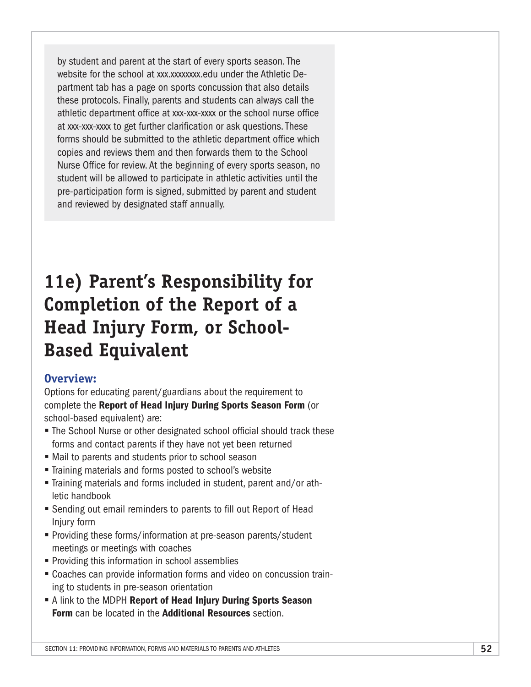by student and parent at the start of every sports season. The website for the school at xxx.xxxxxxx.edu under the Athletic Department tab has a page on sports concussion that also details these protocols. Finally, parents and students can always call the athletic department office at xxx-xxx-xxxx or the school nurse office at xxx-xxx-xxxx to get further clarification or ask questions. These forms should be submitted to the athletic department office which copies and reviews them and then forwards them to the School Nurse Office for review. At the beginning of every sports season, no student will be allowed to participate in athletic activities until the pre-participation form is signed, submitted by parent and student and reviewed by designated staff annually.

# **11e) Parent's Responsibility for Completion of the Report of a Head Injury Form, or School-Based Equivalent**

### **Overview:**

Options for educating parent/guardians about the requirement to complete the Report of Head Injury During Sports Season Form (or school-based equivalent) are:

- The School Nurse or other designated school official should track these forms and contact parents if they have not yet been returned
- Mail to parents and students prior to school season
- Training materials and forms posted to school's website
- § Training materials and forms included in student, parent and/or athletic handbook
- Sending out email reminders to parents to fill out Report of Head Injury form
- Providing these forms/information at pre-season parents/student meetings or meetings with coaches
- Providing this information in school assemblies
- Coaches can provide information forms and video on concussion training to students in pre-season orientation
- A link to the MDPH Report of Head Injury During Sports Season Form can be located in the **Additional Resources** section.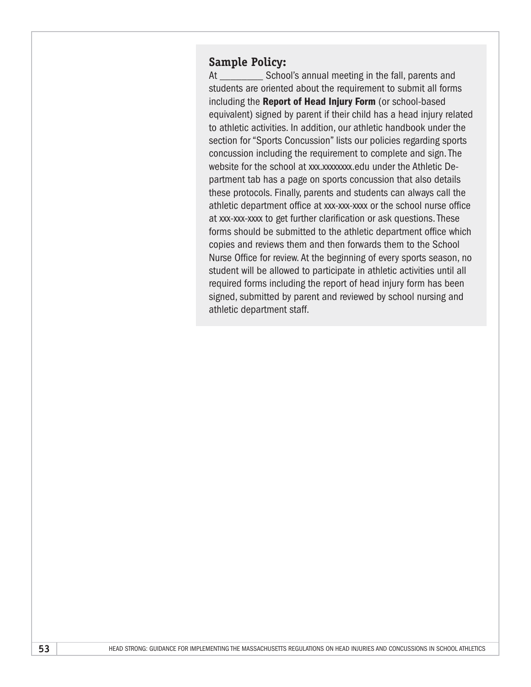### **Sample Policy:**

At School's annual meeting in the fall, parents and students are oriented about the requirement to submit all forms including the Report of Head Injury Form (or school-based equivalent) signed by parent if their child has a head injury related to athletic activities. In addition, our athletic handbook under the section for "Sports Concussion" lists our policies regarding sports concussion including the requirement to complete and sign. The website for the school at xxx.xxxxxxx.edu under the Athletic Department tab has a page on sports concussion that also details these protocols. Finally, parents and students can always call the athletic department office at xxx-xxx-xxxx or the school nurse office at xxx-xxx-xxxx to get further clarification or ask questions. These forms should be submitted to the athletic department office which copies and reviews them and then forwards them to the School Nurse Office for review. At the beginning of every sports season, no student will be allowed to participate in athletic activities until all required forms including the report of head injury form has been signed, submitted by parent and reviewed by school nursing and athletic department staff.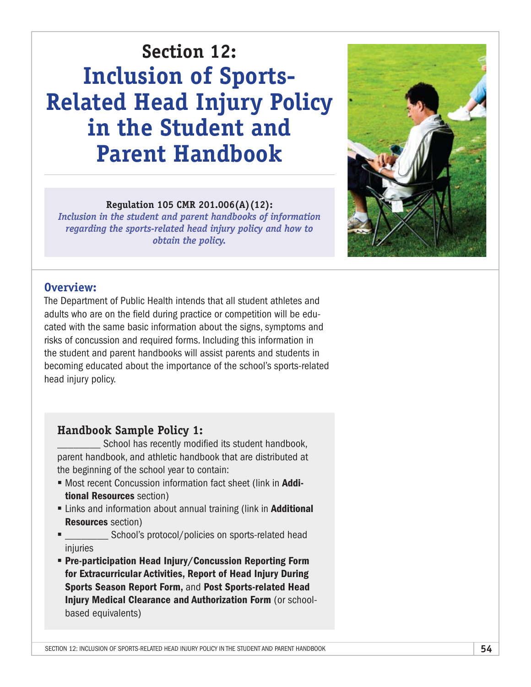# **Section 12: Inclusion of Sports-Related Head Injury Policy in the Student and Parent Handbook**

#### **Regulation 105 CMR 201.006(A)(12):**

*Inclusion in the student and parent handbooks of information regarding the sports-related head injury policy and how to obtain the policy.*



### **Overview:**

The Department of Public Health intends that all student athletes and adults who are on the field during practice or competition will be educated with the same basic information about the signs, symptoms and risks of concussion and required forms. Including this information in the student and parent handbooks will assist parents and students in becoming educated about the importance of the school's sports-related head injury policy.

### **Handbook Sample Policy 1:**

School has recently modified its student handbook, parent handbook, and athletic handbook that are distributed at the beginning of the school year to contain:

- Most recent Concussion information fact sheet (link in Additional Resources section)
- Links and information about annual training (link in **Additional** Resources section)
- **EXECUTE:** School's protocol/policies on sports-related head injuries
- § Pre-participation Head Injury/Concussion Reporting Form for Extracurricular Activities, Report of Head Injury During Sports Season Report Form, and Post Sports-related Head Injury Medical Clearance and Authorization Form (or schoolbased equivalents)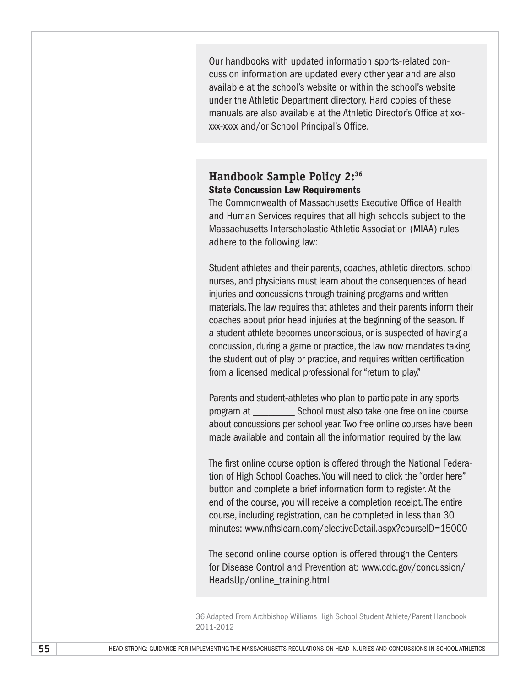Our handbooks with updated information sports-related concussion information are updated every other year and are also available at the school's website or within the school's website under the Athletic Department directory. Hard copies of these manuals are also available at the Athletic Director's Office at xxxxxx-xxxx and/or School Principal's Office.

### **Handbook Sample Policy 2:36 State Concussion Law Requirements**

The Commonwealth of Massachusetts Executive Office of Health and Human Services requires that all high schools subject to the Massachusetts Interscholastic Athletic Association (MIAA) rules adhere to the following law:

Student athletes and their parents, coaches, athletic directors, school nurses, and physicians must learn about the consequences of head injuries and concussions through training programs and written materials. The law requires that athletes and their parents inform their coaches about prior head injuries at the beginning of the season. If a student athlete becomes unconscious, or is suspected of having a concussion, during a game or practice, the law now mandates taking the student out of play or practice, and requires written certification from a licensed medical professional for "return to play."

Parents and student-athletes who plan to participate in any sports program at \_\_\_\_\_\_\_\_ School must also take one free online course about concussions per school year. Two free online courses have been made available and contain all the information required by the law.

The first online course option is offered through the National Federation of High School Coaches. You will need to click the "order here" button and complete a brief information form to register. At the end of the course, you will receive a completion receipt. The entire course, including registration, can be completed in less than 30 minutes: [www.nfhslearn.com/electiveDetail.aspx?courseID=15000](http://www.nfhslearn.com/electiveDetail.aspx?courseID=15000)

The second online course option is offered through the Centers for Disease Control and Prevention at: [www.cdc.gov/concussion/](http://www.cdc.gov/concussion/HeadsUp/online_training.html) [HeadsUp/online\\_training.html](http://www.cdc.gov/concussion/HeadsUp/online_training.html)

<sup>36</sup> Adapted From Archbishop Williams High School Student Athlete/Parent Handbook 2011-2012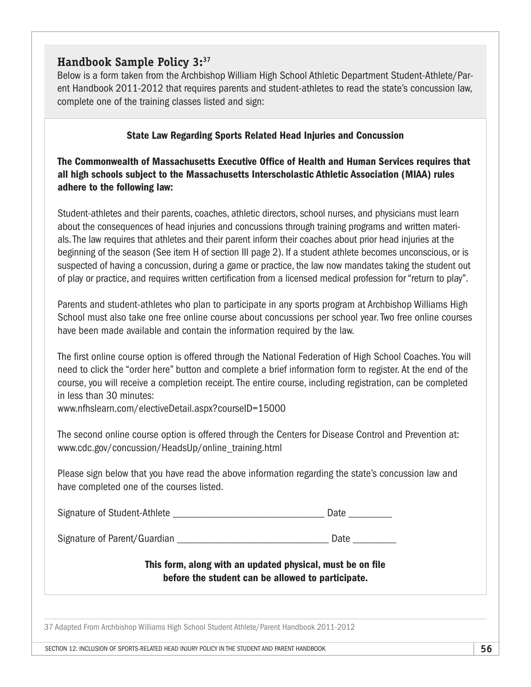### **Handbook Sample Policy 3:37**

Below is a form taken from the Archbishop William High School Athletic Department Student-Athlete/Parent Handbook 2011-2012 that requires parents and student-athletes to read the state's concussion law, complete one of the training classes listed and sign:

#### State Law Regarding Sports Related Head Injuries and Concussion

The Commonwealth of Massachusetts Executive Office of Health and Human Services requires that all high schools subject to the Massachusetts Interscholastic Athletic Association (MIAA) rules adhere to the following law:

Student-athletes and their parents, coaches, athletic directors, school nurses, and physicians must learn about the consequences of head injuries and concussions through training programs and written materials. The law requires that athletes and their parent inform their coaches about prior head injuries at the beginning of the season (See item H of section III page 2). If a student athlete becomes unconscious, or is suspected of having a concussion, during a game or practice, the law now mandates taking the student out of play or practice, and requires written certification from a licensed medical profession for "return to play".

Parents and student-athletes who plan to participate in any sports program at Archbishop Williams High School must also take one free online course about concussions per school year. Two free online courses have been made available and contain the information required by the law.

The first online course option is offered through the National Federation of High School Coaches. You will need to click the "order here" button and complete a brief information form to register. At the end of the course, you will receive a completion receipt. The entire course, including registration, can be completed in less than 30 minutes:

[www.nfhslearn.com/electiveDetail.aspx?courseID=15000](http://www.nfhslearn.com/electiveDetail.aspx?courseID=15000)

The second online course option is offered through the Centers for Disease Control and Prevention at: [www.cdc.gov/concussion/HeadsUp/online\\_training.html](http://www.cdc.gov/concussion/HeadsUp/online_training.html)

Please sign below that you have read the above information regarding the state's concussion law and have completed one of the courses listed.

Signature of Student-Athlete \_\_\_\_\_\_\_\_\_\_\_\_\_\_\_\_\_\_\_\_\_\_\_\_\_\_\_\_ Date \_\_\_\_\_\_\_\_

Signature of Parent/Guardian extending the state of Parent/Guardian extending the state of Parent Construction

#### This form, along with an updated physical, must be on file before the student can be allowed to participate.

37 Adapted From Archbishop Williams High School Student Athlete/Parent Handbook 2011-2012

Section 12: INCLUSION OF SPORTS-RELATED HEAD INJURY POLICY IN THE STUDENT AND PARENT HANDBOOK **56**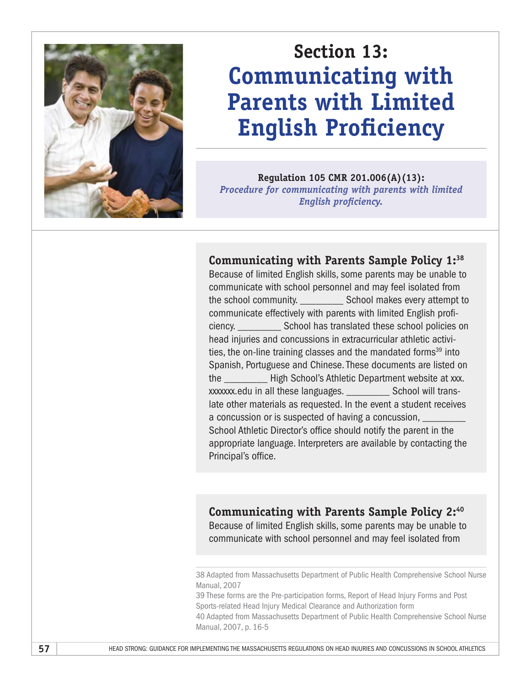

# **Section 13: Communicating with Parents with Limited English Proficiency**

**Regulation 105 CMR 201.006(A)(13):**  *Procedure for communicating with parents with limited English proficiency.*

### **Communicating with Parents Sample Policy 1:38**

Because of limited English skills, some parents may be unable to communicate with school personnel and may feel isolated from the school community. \_\_\_\_\_\_\_\_ School makes every attempt to communicate effectively with parents with limited English proficiency. \_\_\_\_\_\_\_\_ School has translated these school policies on head injuries and concussions in extracurricular athletic activities, the on-line training classes and the mandated forms<sup>39</sup> into Spanish, Portuguese and Chinese. These documents are listed on the \_\_\_\_\_\_\_\_ High School's Athletic Department website at xxx. xxxxxxx.edu in all these languages. \_\_\_\_\_\_\_\_ School will translate other materials as requested. In the event a student receives a concussion or is suspected of having a concussion, School Athletic Director's office should notify the parent in the appropriate language. Interpreters are available by contacting the Principal's office.

### **Communicating with Parents Sample Policy 2:40**

Because of limited English skills, some parents may be unable to communicate with school personnel and may feel isolated from

39 These forms are the Pre-participation forms, Report of Head Injury Forms and Post Sports-related Head Injury Medical Clearance and Authorization form

40 Adapted from Massachusetts Department of Public Health Comprehensive School Nurse Manual, 2007, p. 16-5

<sup>38</sup> Adapted from Massachusetts Department of Public Health Comprehensive School Nurse Manual, 2007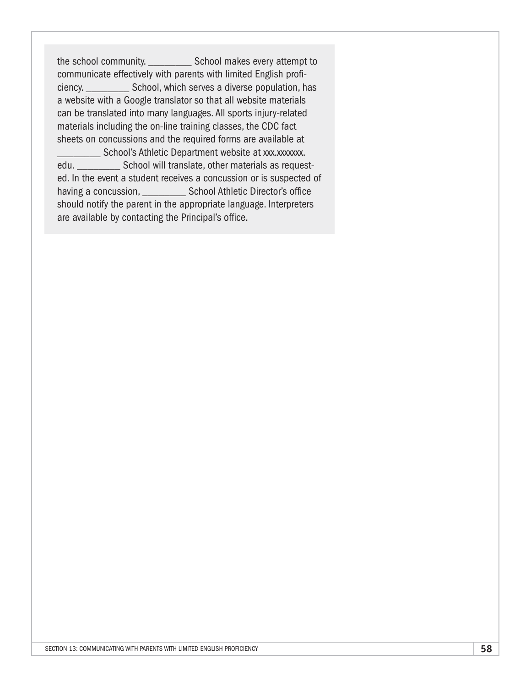the school community. \_\_\_\_\_\_\_\_ School makes every attempt to communicate effectively with parents with limited English proficiency. \_\_\_\_\_\_\_\_ School, which serves a diverse population, has a website with a Google translator so that all website materials can be translated into many languages. All sports injury-related materials including the on-line training classes, the CDC fact sheets on concussions and the required forms are available at **Example 20 School's Athletic Department website at xxx.xxxxxx.** 

edu. \_\_\_\_\_\_\_\_\_\_\_\_ School will translate, other materials as requested. In the event a student receives a concussion or is suspected of having a concussion, extending School Athletic Director's office should notify the parent in the appropriate language. Interpreters are available by contacting the Principal's office.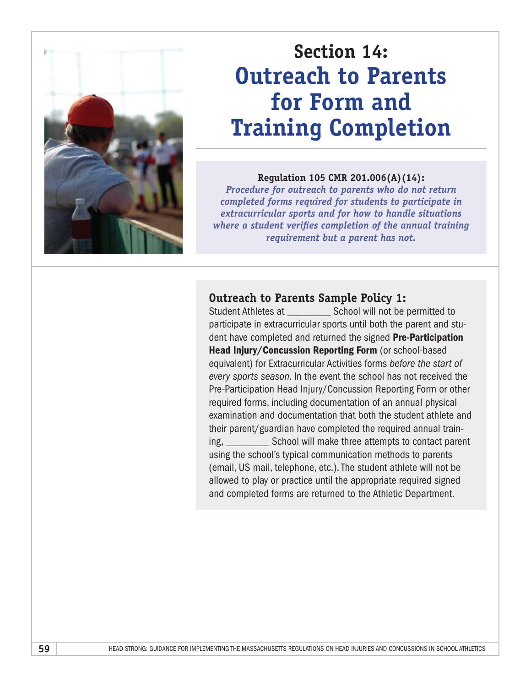

# **Section 14: Outreach to Parents for Form and Training Completion**

#### **Regulation 105 CMR 201.006(A)(14):**

*Procedure for outreach to parents who do not return completed forms required for students to participate in extracurricular sports and for how to handle situations where a student verifies completion of the annual training requirement but a parent has not.*

#### **Outreach to Parents Sample Policy 1:**

Student Athletes at **School will not be permitted to** participate in extracurricular sports until both the parent and student have completed and returned the signed Pre-Participation Head Injury/Concussion Reporting Form (or school-based equivalent) for Extracurricular Activities forms *before the start of every sports season*. In the event the school has not received the Pre-Participation Head Injury/Concussion Reporting Form or other required forms, including documentation of an annual physical examination and documentation that both the student athlete and their parent/guardian have completed the required annual training, School will make three attempts to contact parent using the school's typical communication methods to parents (email, US mail, telephone, etc.). The student athlete will not be allowed to play or practice until the appropriate required signed and completed forms are returned to the Athletic Department.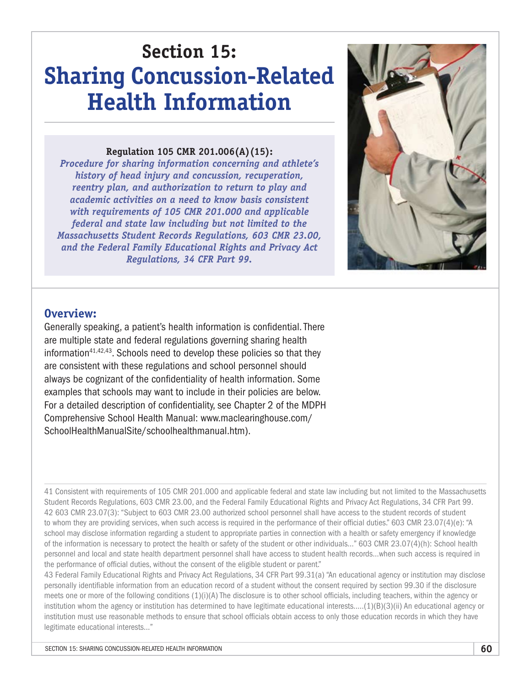# **Section 15: Sharing Concussion-Related Health Information**

#### **Regulation 105 CMR 201.006(A)(15):**

*Procedure for sharing information concerning and athlete's history of head injury and concussion, recuperation, reentry plan, and authorization to return to play and academic activities on a need to know basis consistent with requirements of 105 CMR 201.000 and applicable federal and state law including but not limited to the Massachusetts Student Records Regulations, 603 CMR 23.00, and the Federal Family Educational Rights and Privacy Act Regulations, 34 CFR Part 99.*



#### **Overview:**

Generally speaking, a patient's health information is confidential. There are multiple state and federal regulations governing sharing health information<sup>41,42,43</sup>. Schools need to develop these policies so that they are consistent with these regulations and school personnel should always be cognizant of the confidentiality of health information. Some examples that schools may want to include in their policies are below. For a detailed description of confidentiality, see Chapter 2 of the MDPH Comprehensive School Health Manual: [www.maclearinghouse.com/](http://www.maclearinghouse.com/SchoolHealthManualSite/schoolhealthmanual.htm) [SchoolHealthManualSite/schoolhealthmanual.htm](http://www.maclearinghouse.com/SchoolHealthManualSite/schoolhealthmanual.htm)).

41 Consistent with requirements of 105 CMR 201.000 and applicable federal and state law including but not limited to the Massachusetts Student Records Regulations, 603 CMR 23.00, and the Federal Family Educational Rights and Privacy Act Regulations, 34 CFR Part 99. 42 603 CMR 23.07(3): "Subject to 603 CMR 23.00 authorized school personnel shall have access to the student records of student to whom they are providing services, when such access is required in the performance of their official duties." 603 CMR 23.07(4)(e): "A school may disclose information regarding a student to appropriate parties in connection with a health or safety emergency if knowledge of the information is necessary to protect the health or safety of the student or other individuals…" 603 CMR 23.07(4)(h): School health personnel and local and state health department personnel shall have access to student health records…when such access is required in the performance of official duties, without the consent of the eligible student or parent."

43 Federal Family Educational Rights and Privacy Act Regulations, 34 CFR Part 99.31(a) "An educational agency or institution may disclose personally identifiable information from an education record of a student without the consent required by section 99.30 if the disclosure meets one or more of the following conditions (1)(i)(A) The disclosure is to other school officials, including teachers, within the agency or institution whom the agency or institution has determined to have legitimate educational interests…..(1)(B)(3)(ii) An educational agency or institution must use reasonable methods to ensure that school officials obtain access to only those education records in which they have legitimate educational interests…"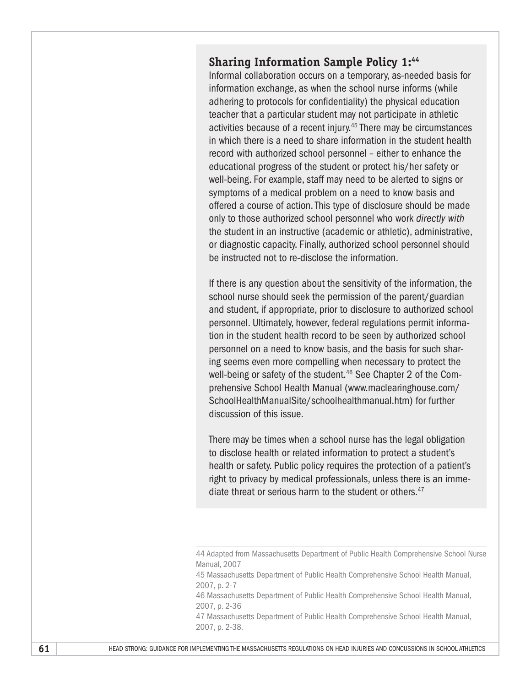### **Sharing Information Sample Policy 1:44**

Informal collaboration occurs on a temporary, as-needed basis for information exchange, as when the school nurse informs (while adhering to protocols for confidentiality) the physical education teacher that a particular student may not participate in athletic activities because of a recent injury.45 There may be circumstances in which there is a need to share information in the student health record with authorized school personnel – either to enhance the educational progress of the student or protect his/her safety or well-being. For example, staff may need to be alerted to signs or symptoms of a medical problem on a need to know basis and offered a course of action. This type of disclosure should be made only to those authorized school personnel who work *directly with* the student in an instructive (academic or athletic), administrative, or diagnostic capacity. Finally, authorized school personnel should be instructed not to re-disclose the information.

If there is any question about the sensitivity of the information, the school nurse should seek the permission of the parent/guardian and student, if appropriate, prior to disclosure to authorized school personnel. Ultimately, however, federal regulations permit information in the student health record to be seen by authorized school personnel on a need to know basis, and the basis for such sharing seems even more compelling when necessary to protect the well-being or safety of the student.<sup>46</sup> See Chapter 2 of the Comprehensive School Health Manual [\(www.maclearinghouse.com/](http://www.maclearinghouse.com/SchoolHealthManualSite/schoolhealthmanual.htm) [SchoolHealthManualSite/schoolhealthmanual.htm](http://www.maclearinghouse.com/SchoolHealthManualSite/schoolhealthmanual.htm)) for further discussion of this issue.

There may be times when a school nurse has the legal obligation to disclose health or related information to protect a student's health or safety. Public policy requires the protection of a patient's right to privacy by medical professionals, unless there is an immediate threat or serious harm to the student or others.<sup>47</sup>

<sup>44</sup> Adapted from Massachusetts Department of Public Health Comprehensive School Nurse Manual, 2007

<sup>45</sup> Massachusetts Department of Public Health Comprehensive School Health Manual, 2007, p. 2-7

<sup>46</sup> Massachusetts Department of Public Health Comprehensive School Health Manual, 2007, p. 2-36

<sup>47</sup> Massachusetts Department of Public Health Comprehensive School Health Manual, 2007, p. 2-38.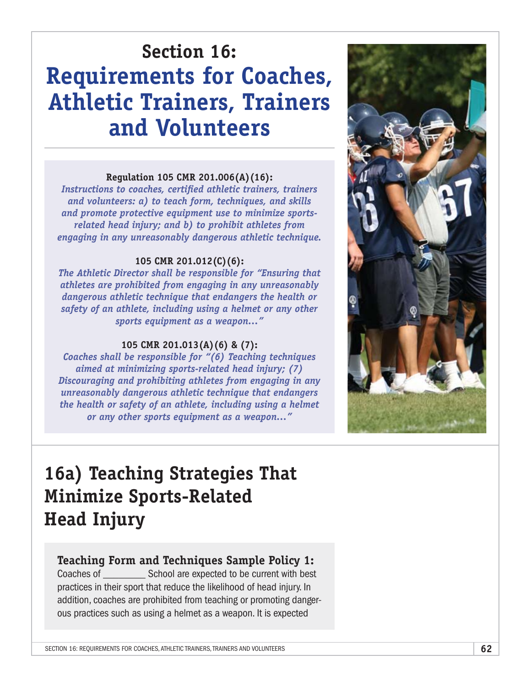# **Section 16: Requirements for Coaches, Athletic Trainers, Trainers and Volunteers**

#### **Regulation 105 CMR 201.006(A)(16):**

*Instructions to coaches, certified athletic trainers, trainers and volunteers: a) to teach form, techniques, and skills and promote protective equipment use to minimize sportsrelated head injury; and b) to prohibit athletes from engaging in any unreasonably dangerous athletic technique.*

#### **105 CMR 201.012(C)(6):**

*The Athletic Director shall be responsible for "Ensuring that athletes are prohibited from engaging in any unreasonably dangerous athletic technique that endangers the health or safety of an athlete, including using a helmet or any other sports equipment as a weapon…"*

#### **105 CMR 201.013(A)(6) & (7):**

*Coaches shall be responsible for "(6) Teaching techniques aimed at minimizing sports-related head injury; (7) Discouraging and prohibiting athletes from engaging in any unreasonably dangerous athletic technique that endangers the health or safety of an athlete, including using a helmet or any other sports equipment as a weapon…"*



# **16a) Teaching Strategies That Minimize Sports-Related Head Injury**

### **Teaching Form and Techniques Sample Policy 1:**

Coaches of \_\_\_\_\_\_\_\_ School are expected to be current with best practices in their sport that reduce the likelihood of head injury. In addition, coaches are prohibited from teaching or promoting dangerous practices such as using a helmet as a weapon. It is expected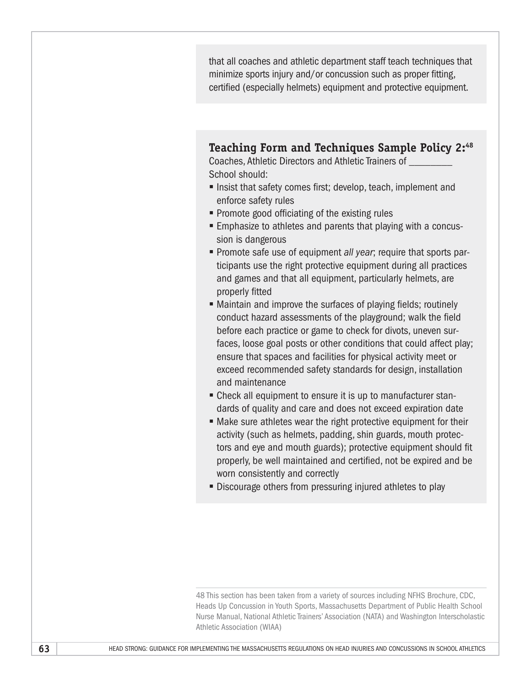that all coaches and athletic department staff teach techniques that minimize sports injury and/or concussion such as proper fitting, certified (especially helmets) equipment and protective equipment.

**Teaching Form and Techniques Sample Policy 2:48**

Coaches, Athletic Directors and Athletic Trainers of \_\_\_\_\_\_\_\_ School should:

- Insist that safety comes first; develop, teach, implement and enforce safety rules
- Promote good officiating of the existing rules
- Emphasize to athletes and parents that playing with a concussion is dangerous
- § Promote safe use of equipment *all year*; require that sports participants use the right protective equipment during all practices and games and that all equipment, particularly helmets, are properly fitted
- Maintain and improve the surfaces of playing fields; routinely conduct hazard assessments of the playground; walk the field before each practice or game to check for divots, uneven surfaces, loose goal posts or other conditions that could affect play; ensure that spaces and facilities for physical activity meet or exceed recommended safety standards for design, installation and maintenance
- Check all equipment to ensure it is up to manufacturer standards of quality and care and does not exceed expiration date
- Make sure athletes wear the right protective equipment for their activity (such as helmets, padding, shin guards, mouth protectors and eye and mouth guards); protective equipment should fit properly, be well maintained and certified, not be expired and be worn consistently and correctly
- Discourage others from pressuring injured athletes to play

48 This section has been taken from a variety of sources including NFHS Brochure, CDC, Heads Up Concussion in Youth Sports, Massachusetts Department of Public Health School Nurse Manual, National Athletic Trainers' Association (NATA) and Washington Interscholastic Athletic Association (WIAA)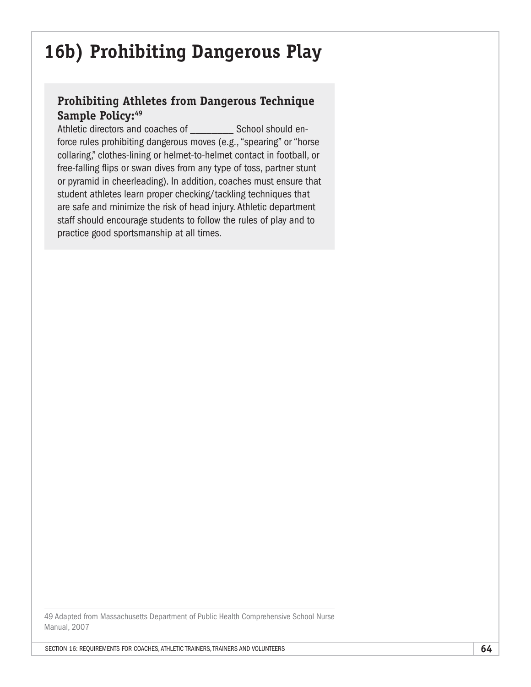# **16b) Prohibiting Dangerous Play**

## **Prohibiting Athletes from Dangerous Technique**  Sample Policy:<sup>49</sup>

Athletic directors and coaches of School should enforce rules prohibiting dangerous moves (e.g., "spearing" or "horse collaring," clothes-lining or helmet-to-helmet contact in football, or free-falling flips or swan dives from any type of toss, partner stunt or pyramid in cheerleading). In addition, coaches must ensure that student athletes learn proper checking/tackling techniques that are safe and minimize the risk of head injury. Athletic department staff should encourage students to follow the rules of play and to practice good sportsmanship at all times.

49 Adapted from Massachusetts Department of Public Health Comprehensive School Nurse Manual, 2007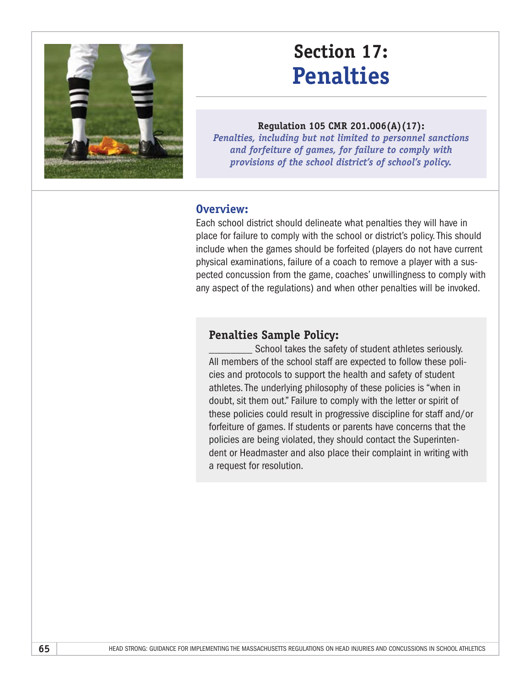

# **Section 17: Penalties**

**Regulation 105 CMR 201.006(A)(17):**  *Penalties, including but not limited to personnel sanctions and forfeiture of games, for failure to comply with provisions of the school district's of school's policy.*

### **Overview:**

Each school district should delineate what penalties they will have in place for failure to comply with the school or district's policy. This should include when the games should be forfeited (players do not have current physical examinations, failure of a coach to remove a player with a suspected concussion from the game, coaches' unwillingness to comply with any aspect of the regulations) and when other penalties will be invoked.

### **Penalties Sample Policy:**

School takes the safety of student athletes seriously. All members of the school staff are expected to follow these policies and protocols to support the health and safety of student athletes. The underlying philosophy of these policies is "when in doubt, sit them out." Failure to comply with the letter or spirit of these policies could result in progressive discipline for staff and/or forfeiture of games. If students or parents have concerns that the policies are being violated, they should contact the Superintendent or Headmaster and also place their complaint in writing with a request for resolution.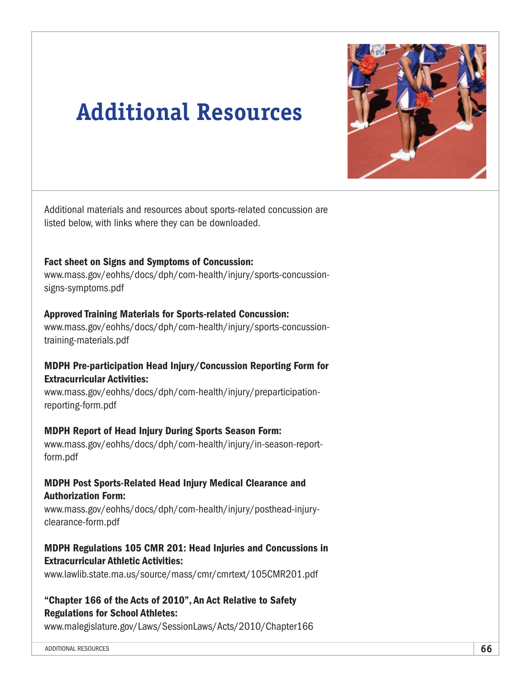

# **Additional Resources**

Additional materials and resources about sports-related concussion are listed below, with links where they can be downloaded.

#### Fact sheet on Signs and Symptoms of Concussion:

[www.mass.gov/eohhs/docs/dph/com-health/injury/sports-concussion](http://www.mass.gov/eohhs/docs/dph/com-health/injury/sports-concussion-signs-symptoms.pdf)[signs-symptoms.pdf](http://www.mass.gov/eohhs/docs/dph/com-health/injury/sports-concussion-signs-symptoms.pdf)

#### Approved Training Materials for Sports-related Concussion:

[www.mass.gov/eohhs/docs/dph/com-health/injury/sports-concussion](http://www.mass.gov/eohhs/docs/dph/com-health/injury/sports-concussion-training-materials.pdf)[training-materials.pdf](http://www.mass.gov/eohhs/docs/dph/com-health/injury/sports-concussion-training-materials.pdf)

#### MDPH Pre-participation Head Injury/Concussion Reporting Form for Extracurricular Activities:

[www.mass.gov/eohhs/docs/dph/com-health/injury/preparticipation](http://www.mass.gov/eohhs/docs/dph/com-health/injury/preparticipation-reporting-form.pdf)[reporting-form.pdf](http://www.mass.gov/eohhs/docs/dph/com-health/injury/preparticipation-reporting-form.pdf)

#### MDPH Report of Head Injury During Sports Season Form:

[www.mass.gov/eohhs/docs/dph/com-health/injury/in-season-report](http://www.mass.gov/eohhs/docs/dph/com-health/injury/in-season-report-form.pdf)[form.pdf](http://www.mass.gov/eohhs/docs/dph/com-health/injury/in-season-report-form.pdf)

#### MDPH Post Sports-Related Head Injury Medical Clearance and Authorization Form:

[www.mass.gov/eohhs/docs/dph/com-health/injury/posthead-injury](http://www.mass.gov/eohhs/docs/dph/com-health/injury/posthead-injury-clearance-form.pdf)[clearance-form.pdf](http://www.mass.gov/eohhs/docs/dph/com-health/injury/posthead-injury-clearance-form.pdf)

#### MDPH Regulations 105 CMR 201: Head Injuries and Concussions in Extracurricular Athletic Activities:

[www.lawlib.state.ma.us/source/mass/cmr/cmrtext/105CMR201.pdf](http://www.lawlib.state.ma.us/source/mass/cmr/cmrtext/105CMR201.pdf)

#### "Chapter 166 of the Acts of 2010", An Act Relative to Safety Regulations for School Athletes:

[www.malegislature.gov/Laws/SessionLaws/Acts/2010/Chapter166](http://www.malegislature.gov/Laws/SessionLaws/Acts/2010/Chapter166)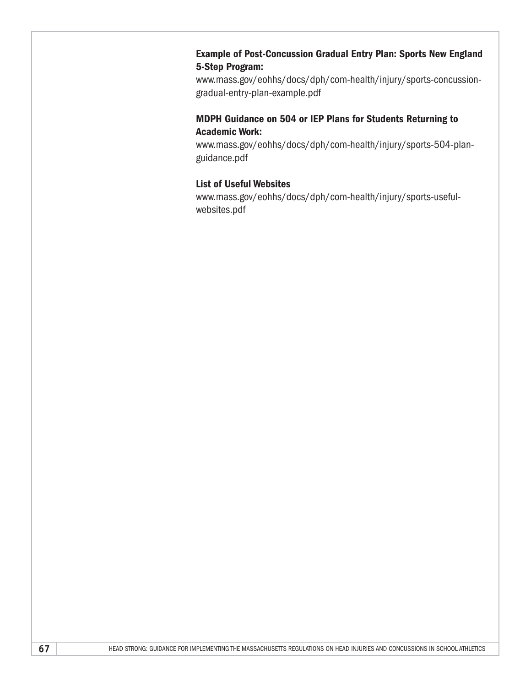#### Example of Post-Concussion Gradual Entry Plan: Sports New England 5-Step Program:

[www.mass.gov/eohhs/docs/dph/com-health/injury/sports-concussion](http://www.mass.gov/eohhs/docs/dph/com-health/injury/sports-concussion-gradual-entry-plan-example.pdf)[gradual-entry-plan-example.pdf](http://www.mass.gov/eohhs/docs/dph/com-health/injury/sports-concussion-gradual-entry-plan-example.pdf)

#### MDPH Guidance on 504 or IEP Plans for Students Returning to Academic Work:

[www.mass.gov/eohhs/docs/dph/com-health/injury/sports-504-plan](http://www.mass.gov/eohhs/docs/dph/com-health/injury/sports-504-plan-guidance.pdf)[guidance.pdf](http://www.mass.gov/eohhs/docs/dph/com-health/injury/sports-504-plan-guidance.pdf)

#### List of Useful Websites

[www.mass.gov/eohhs/docs/dph/com-health/injury/sports-useful](http://www.mass.gov/eohhs/docs/dph/com-health/injury/sports-useful-websites.pdf)[websites.pdf](http://www.mass.gov/eohhs/docs/dph/com-health/injury/sports-useful-websites.pdf)